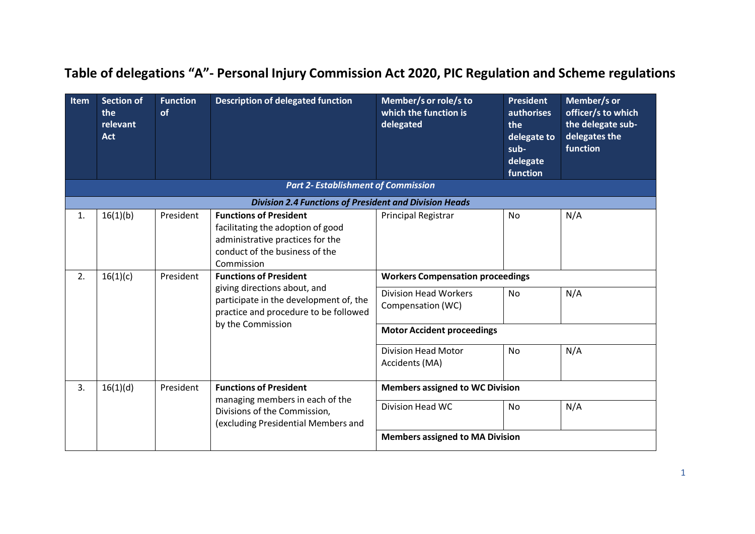| Item | <b>Section of</b><br>the<br>relevant<br><b>Act</b> | <b>Function</b><br>of | <b>Description of delegated function</b>                                                                                                               | Member/s or role/s to<br>which the function is<br>delegated | <b>President</b><br><b>authorises</b><br>the<br>delegate to<br>sub-<br>delegate<br>function | Member/s or<br>officer/s to which<br>the delegate sub-<br>delegates the<br>function |
|------|----------------------------------------------------|-----------------------|--------------------------------------------------------------------------------------------------------------------------------------------------------|-------------------------------------------------------------|---------------------------------------------------------------------------------------------|-------------------------------------------------------------------------------------|
|      |                                                    |                       | <b>Part 2- Establishment of Commission</b>                                                                                                             |                                                             |                                                                                             |                                                                                     |
|      |                                                    |                       | <b>Division 2.4 Functions of President and Division Heads</b>                                                                                          |                                                             |                                                                                             |                                                                                     |
| 1.   | 16(1)(b)                                           | President             | <b>Functions of President</b><br>facilitating the adoption of good<br>administrative practices for the<br>conduct of the business of the<br>Commission | <b>Principal Registrar</b>                                  | <b>No</b>                                                                                   | N/A                                                                                 |
| 2.   | 16(1)(c)                                           | President             | <b>Functions of President</b><br>giving directions about, and<br>participate in the development of, the<br>practice and procedure to be followed       | <b>Workers Compensation proceedings</b>                     |                                                                                             |                                                                                     |
|      |                                                    |                       |                                                                                                                                                        | <b>Division Head Workers</b><br>Compensation (WC)           | No                                                                                          | N/A                                                                                 |
|      |                                                    |                       | by the Commission                                                                                                                                      | <b>Motor Accident proceedings</b>                           |                                                                                             |                                                                                     |
|      |                                                    |                       |                                                                                                                                                        | <b>Division Head Motor</b><br>Accidents (MA)                | No                                                                                          | N/A                                                                                 |
| 3.   | 16(1)(d)                                           | President             | <b>Functions of President</b>                                                                                                                          | <b>Members assigned to WC Division</b>                      |                                                                                             |                                                                                     |
|      |                                                    |                       | managing members in each of the<br>Divisions of the Commission,<br>(excluding Presidential Members and                                                 | Division Head WC                                            | <b>No</b>                                                                                   | N/A                                                                                 |
|      |                                                    |                       |                                                                                                                                                        | <b>Members assigned to MA Division</b>                      |                                                                                             |                                                                                     |

## **Table of delegations "A"- Personal Injury Commission Act 2020, PIC Regulation and Scheme regulations**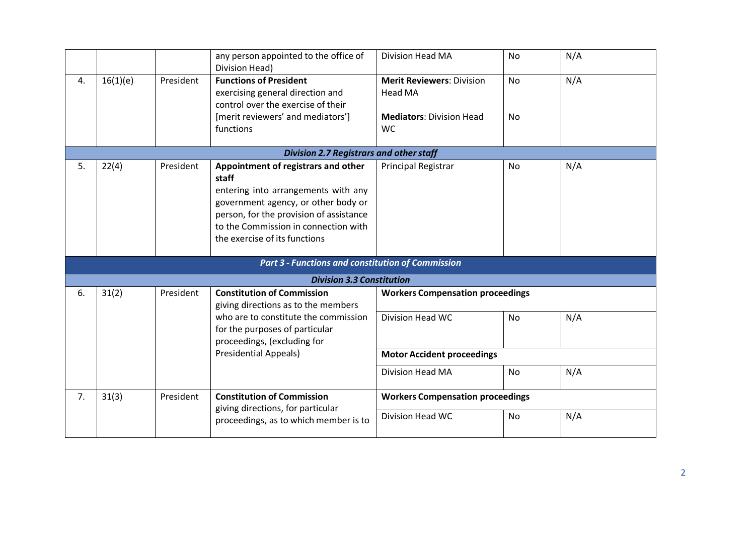|    |                                                |           | any person appointed to the office of<br>Division Head)                                                                                                                                                                                        | Division Head MA                                                                            | <b>No</b>              | N/A |  |  |  |
|----|------------------------------------------------|-----------|------------------------------------------------------------------------------------------------------------------------------------------------------------------------------------------------------------------------------------------------|---------------------------------------------------------------------------------------------|------------------------|-----|--|--|--|
| 4. | 16(1)(e)                                       | President | <b>Functions of President</b><br>exercising general direction and<br>control over the exercise of their<br>[merit reviewers' and mediators']<br>functions                                                                                      | <b>Merit Reviewers: Division</b><br>Head MA<br><b>Mediators: Division Head</b><br><b>WC</b> | <b>No</b><br><b>No</b> | N/A |  |  |  |
|    | <b>Division 2.7 Registrars and other staff</b> |           |                                                                                                                                                                                                                                                |                                                                                             |                        |     |  |  |  |
| 5. | 22(4)                                          | President | Appointment of registrars and other<br>staff<br>entering into arrangements with any<br>government agency, or other body or<br>person, for the provision of assistance<br>to the Commission in connection with<br>the exercise of its functions | Principal Registrar                                                                         | <b>No</b>              | N/A |  |  |  |
|    |                                                |           | <b>Part 3 - Functions and constitution of Commission</b>                                                                                                                                                                                       |                                                                                             |                        |     |  |  |  |
|    |                                                |           | <b>Division 3.3 Constitution</b>                                                                                                                                                                                                               |                                                                                             |                        |     |  |  |  |
| 6. | 31(2)                                          | President | <b>Constitution of Commission</b><br>giving directions as to the members                                                                                                                                                                       | <b>Workers Compensation proceedings</b>                                                     |                        |     |  |  |  |
|    |                                                |           | who are to constitute the commission<br>for the purposes of particular<br>proceedings, (excluding for                                                                                                                                          | <b>Division Head WC</b>                                                                     | <b>No</b>              | N/A |  |  |  |
|    |                                                |           | <b>Presidential Appeals)</b>                                                                                                                                                                                                                   | <b>Motor Accident proceedings</b>                                                           |                        |     |  |  |  |
|    |                                                |           |                                                                                                                                                                                                                                                | Division Head MA                                                                            | <b>No</b>              | N/A |  |  |  |
| 7. | 31(3)                                          | President | <b>Constitution of Commission</b><br>giving directions, for particular                                                                                                                                                                         | <b>Workers Compensation proceedings</b>                                                     |                        |     |  |  |  |
|    |                                                |           | proceedings, as to which member is to                                                                                                                                                                                                          | <b>Division Head WC</b>                                                                     | <b>No</b>              | N/A |  |  |  |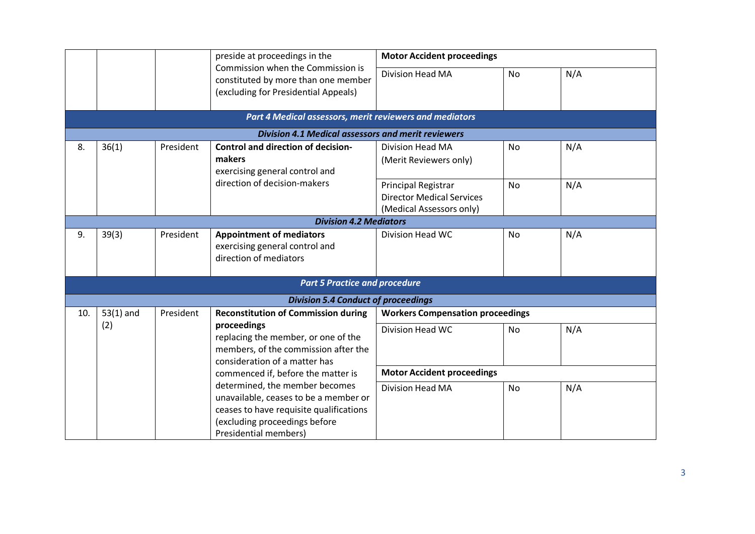|     |                              |                                                                                            | preside at proceedings in the                                                                                                                                                | <b>Motor Accident proceedings</b>                 |           |     |
|-----|------------------------------|--------------------------------------------------------------------------------------------|------------------------------------------------------------------------------------------------------------------------------------------------------------------------------|---------------------------------------------------|-----------|-----|
|     |                              |                                                                                            | Commission when the Commission is<br>constituted by more than one member<br>(excluding for Presidential Appeals)                                                             | <b>Division Head MA</b>                           | <b>No</b> | N/A |
|     |                              |                                                                                            | Part 4 Medical assessors, merit reviewers and mediators                                                                                                                      |                                                   |           |     |
|     |                              |                                                                                            | <b>Division 4.1 Medical assessors and merit reviewers</b>                                                                                                                    |                                                   |           |     |
| 8.  | 36(1)                        | President                                                                                  | <b>Control and direction of decision-</b><br>makers<br>exercising general control and                                                                                        | <b>Division Head MA</b><br>(Merit Reviewers only) | No        | N/A |
|     | direction of decision-makers | <b>Principal Registrar</b><br><b>Director Medical Services</b><br>(Medical Assessors only) | <b>No</b>                                                                                                                                                                    | N/A                                               |           |     |
|     |                              |                                                                                            | <b>Division 4.2 Mediators</b>                                                                                                                                                |                                                   |           |     |
| 9.  | 39(3)                        | President                                                                                  | <b>Appointment of mediators</b><br>exercising general control and<br>direction of mediators                                                                                  | Division Head WC                                  | <b>No</b> | N/A |
|     |                              |                                                                                            | <b>Part 5 Practice and procedure</b>                                                                                                                                         |                                                   |           |     |
|     |                              |                                                                                            | <b>Division 5.4 Conduct of proceedings</b>                                                                                                                                   |                                                   |           |     |
| 10. | $53(1)$ and                  | President                                                                                  | <b>Reconstitution of Commission during</b>                                                                                                                                   | <b>Workers Compensation proceedings</b>           |           |     |
|     | (2)                          |                                                                                            | proceedings<br>replacing the member, or one of the<br>members, of the commission after the<br>consideration of a matter has                                                  | <b>Division Head WC</b>                           | <b>No</b> | N/A |
|     |                              |                                                                                            | commenced if, before the matter is                                                                                                                                           | <b>Motor Accident proceedings</b>                 |           |     |
|     |                              |                                                                                            | determined, the member becomes<br>unavailable, ceases to be a member or<br>ceases to have requisite qualifications<br>(excluding proceedings before<br>Presidential members) | <b>Division Head MA</b>                           | <b>No</b> | N/A |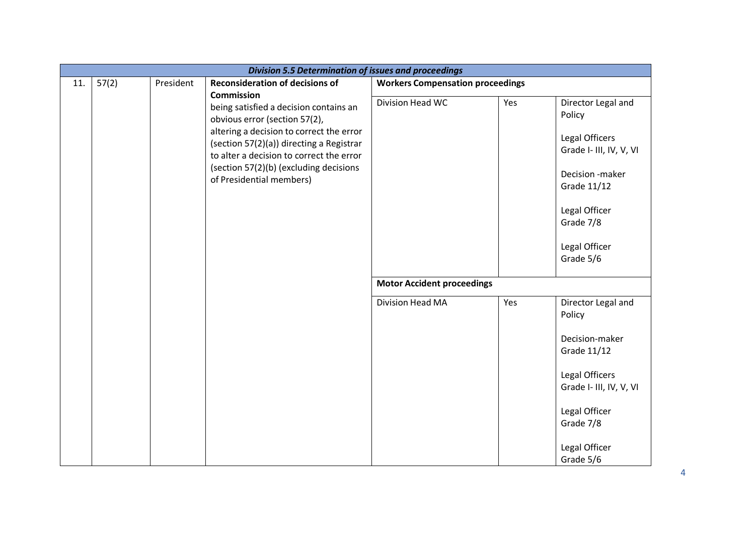|     | <b>Division 5.5 Determination of issues and proceedings</b> |           |                                                                                                                                                                                                                                                                                                        |                                         |     |                                                                                                                                                                         |  |  |
|-----|-------------------------------------------------------------|-----------|--------------------------------------------------------------------------------------------------------------------------------------------------------------------------------------------------------------------------------------------------------------------------------------------------------|-----------------------------------------|-----|-------------------------------------------------------------------------------------------------------------------------------------------------------------------------|--|--|
| 11. | 57(2)                                                       | President | <b>Reconsideration of decisions of</b>                                                                                                                                                                                                                                                                 | <b>Workers Compensation proceedings</b> |     |                                                                                                                                                                         |  |  |
|     |                                                             |           | <b>Commission</b><br>being satisfied a decision contains an<br>obvious error (section 57(2),<br>altering a decision to correct the error<br>(section 57(2)(a)) directing a Registrar<br>to alter a decision to correct the error<br>(section 57(2)(b) (excluding decisions<br>of Presidential members) | Division Head WC                        | Yes | Director Legal and<br>Policy<br>Legal Officers<br>Grade I- III, IV, V, VI<br>Decision -maker<br>Grade 11/12<br>Legal Officer<br>Grade 7/8<br>Legal Officer<br>Grade 5/6 |  |  |
|     |                                                             |           |                                                                                                                                                                                                                                                                                                        | <b>Motor Accident proceedings</b>       |     |                                                                                                                                                                         |  |  |
|     |                                                             |           |                                                                                                                                                                                                                                                                                                        | Division Head MA                        | Yes | Director Legal and<br>Policy<br>Decision-maker<br>Grade 11/12<br>Legal Officers<br>Grade I- III, IV, V, VI<br>Legal Officer<br>Grade 7/8<br>Legal Officer               |  |  |
|     |                                                             |           |                                                                                                                                                                                                                                                                                                        |                                         |     | Grade 5/6                                                                                                                                                               |  |  |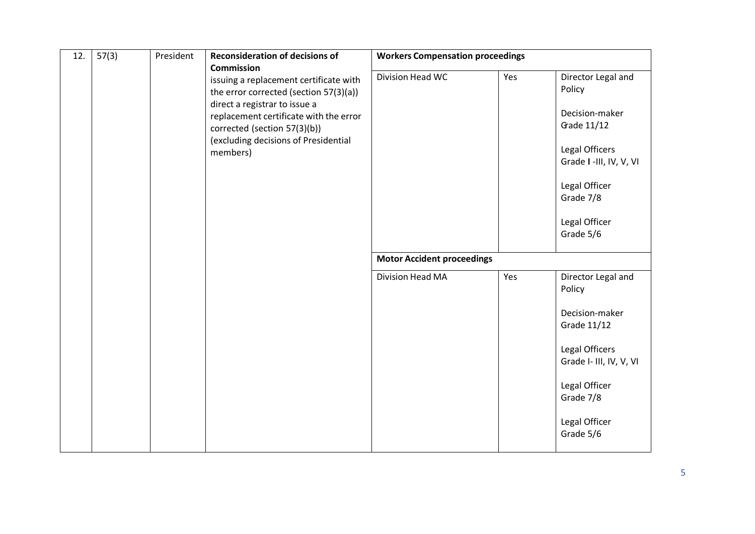| 12. | 57(3) | President | <b>Reconsideration of decisions of</b>                                                                                                                                                                                                                               | <b>Workers Compensation proceedings</b> |     |                                                                                                                                                                        |
|-----|-------|-----------|----------------------------------------------------------------------------------------------------------------------------------------------------------------------------------------------------------------------------------------------------------------------|-----------------------------------------|-----|------------------------------------------------------------------------------------------------------------------------------------------------------------------------|
|     |       |           | <b>Commission</b><br>issuing a replacement certificate with<br>the error corrected (section 57(3)(a))<br>direct a registrar to issue a<br>replacement certificate with the error<br>corrected (section 57(3)(b))<br>(excluding decisions of Presidential<br>members) | Division Head WC                        | Yes | Director Legal and<br>Policy<br>Decision-maker<br>Gade 11/12<br>Legal Officers<br>Grade I -III, IV, V, VI<br>Legal Officer<br>Grade 7/8<br>Legal Officer<br>Grade 5/6  |
|     |       |           |                                                                                                                                                                                                                                                                      | <b>Motor Accident proceedings</b>       |     |                                                                                                                                                                        |
|     |       |           |                                                                                                                                                                                                                                                                      | Division Head MA                        | Yes | Director Legal and<br>Policy<br>Decision-maker<br>Grade 11/12<br>Legal Officers<br>Grade I- III, IV, V, VI<br>Legal Officer<br>Grade 7/8<br>Legal Officer<br>Grade 5/6 |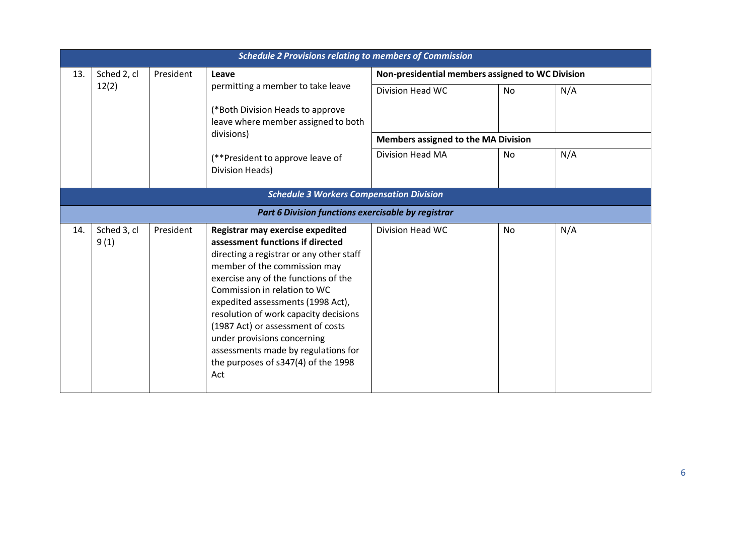|                                                 | <b>Schedule 2 Provisions relating to members of Commission</b> |                                            |                                                                                                                                                                                                                                                                                                                                                                                                                                                                 |                                                  |           |     |  |  |
|-------------------------------------------------|----------------------------------------------------------------|--------------------------------------------|-----------------------------------------------------------------------------------------------------------------------------------------------------------------------------------------------------------------------------------------------------------------------------------------------------------------------------------------------------------------------------------------------------------------------------------------------------------------|--------------------------------------------------|-----------|-----|--|--|
| 13.                                             | Sched 2, cl                                                    | President                                  | Leave                                                                                                                                                                                                                                                                                                                                                                                                                                                           | Non-presidential members assigned to WC Division |           |     |  |  |
|                                                 | 12(2)                                                          |                                            | permitting a member to take leave                                                                                                                                                                                                                                                                                                                                                                                                                               | Division Head WC                                 | No        | N/A |  |  |
|                                                 |                                                                |                                            | (*Both Division Heads to approve<br>leave where member assigned to both                                                                                                                                                                                                                                                                                                                                                                                         |                                                  |           |     |  |  |
|                                                 | divisions)                                                     | <b>Members assigned to the MA Division</b> |                                                                                                                                                                                                                                                                                                                                                                                                                                                                 |                                                  |           |     |  |  |
|                                                 |                                                                |                                            | (**President to approve leave of<br>Division Heads)                                                                                                                                                                                                                                                                                                                                                                                                             | <b>Division Head MA</b>                          | <b>No</b> | N/A |  |  |
| <b>Schedule 3 Workers Compensation Division</b> |                                                                |                                            |                                                                                                                                                                                                                                                                                                                                                                                                                                                                 |                                                  |           |     |  |  |
|                                                 |                                                                |                                            | Part 6 Division functions exercisable by registrar                                                                                                                                                                                                                                                                                                                                                                                                              |                                                  |           |     |  |  |
| 14.                                             | Sched 3, cl<br>9(1)                                            | President                                  | Registrar may exercise expedited<br>assessment functions if directed<br>directing a registrar or any other staff<br>member of the commission may<br>exercise any of the functions of the<br>Commission in relation to WC<br>expedited assessments (1998 Act),<br>resolution of work capacity decisions<br>(1987 Act) or assessment of costs<br>under provisions concerning<br>assessments made by regulations for<br>the purposes of s347(4) of the 1998<br>Act | Division Head WC                                 | No        | N/A |  |  |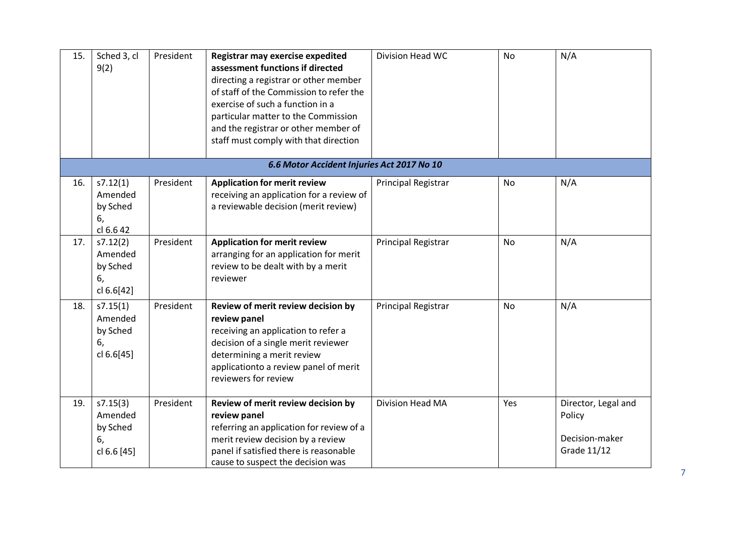| 15. | Sched 3, cl<br>9(2)                                  | President | Registrar may exercise expedited<br>assessment functions if directed<br>directing a registrar or other member<br>of staff of the Commission to refer the<br>exercise of such a function in a<br>particular matter to the Commission<br>and the registrar or other member of<br>staff must comply with that direction | Division Head WC           | <b>No</b> | N/A                                                            |
|-----|------------------------------------------------------|-----------|----------------------------------------------------------------------------------------------------------------------------------------------------------------------------------------------------------------------------------------------------------------------------------------------------------------------|----------------------------|-----------|----------------------------------------------------------------|
|     |                                                      |           | 6.6 Motor Accident Injuries Act 2017 No 10                                                                                                                                                                                                                                                                           |                            |           |                                                                |
| 16. | s7.12(1)<br>Amended<br>by Sched<br>6,<br>cl 6.6 42   | President | <b>Application for merit review</b><br>receiving an application for a review of<br>a reviewable decision (merit review)                                                                                                                                                                                              | Principal Registrar        | No        | N/A                                                            |
| 17. | s7.12(2)<br>Amended<br>by Sched<br>6,<br>cl 6.6[42]  | President | <b>Application for merit review</b><br>arranging for an application for merit<br>review to be dealt with by a merit<br>reviewer                                                                                                                                                                                      | Principal Registrar        | No        | N/A                                                            |
| 18. | s7.15(1)<br>Amended<br>by Sched<br>6,<br>cl 6.6[45]  | President | Review of merit review decision by<br>review panel<br>receiving an application to refer a<br>decision of a single merit reviewer<br>determining a merit review<br>applicationto a review panel of merit<br>reviewers for review                                                                                      | <b>Principal Registrar</b> | <b>No</b> | N/A                                                            |
| 19. | s7.15(3)<br>Amended<br>by Sched<br>6,<br>cl 6.6 [45] | President | Review of merit review decision by<br>review panel<br>referring an application for review of a<br>merit review decision by a review<br>panel if satisfied there is reasonable<br>cause to suspect the decision was                                                                                                   | Division Head MA           | Yes       | Director, Legal and<br>Policy<br>Decision-maker<br>Grade 11/12 |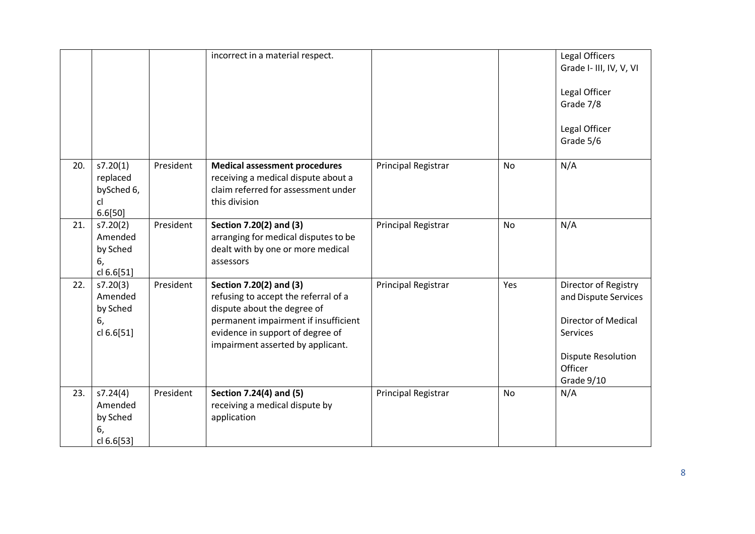|     |                                                     |           | incorrect in a material respect.                                                                                                                                                                                |                     |           | Legal Officers<br>Grade I- III, IV, V, VI<br>Legal Officer<br>Grade 7/8<br>Legal Officer<br>Grade 5/6                                        |
|-----|-----------------------------------------------------|-----------|-----------------------------------------------------------------------------------------------------------------------------------------------------------------------------------------------------------------|---------------------|-----------|----------------------------------------------------------------------------------------------------------------------------------------------|
| 20. | s7.20(1)<br>replaced<br>bySched 6,<br>cl<br>6.6[50] | President | <b>Medical assessment procedures</b><br>receiving a medical dispute about a<br>claim referred for assessment under<br>this division                                                                             | Principal Registrar | <b>No</b> | N/A                                                                                                                                          |
| 21. | s7.20(2)<br>Amended<br>by Sched<br>6,<br>cl 6.6[51] | President | Section 7.20(2) and (3)<br>arranging for medical disputes to be<br>dealt with by one or more medical<br>assessors                                                                                               | Principal Registrar | <b>No</b> | N/A                                                                                                                                          |
| 22. | s7.20(3)<br>Amended<br>by Sched<br>6,<br>cl 6.6[51] | President | Section 7.20(2) and (3)<br>refusing to accept the referral of a<br>dispute about the degree of<br>permanent impairment if insufficient<br>evidence in support of degree of<br>impairment asserted by applicant. | Principal Registrar | Yes       | Director of Registry<br>and Dispute Services<br><b>Director of Medical</b><br>Services<br><b>Dispute Resolution</b><br>Officer<br>Grade 9/10 |
| 23. | s7.24(4)<br>Amended<br>by Sched<br>6,<br>cl 6.6[53] | President | Section 7.24(4) and (5)<br>receiving a medical dispute by<br>application                                                                                                                                        | Principal Registrar | No        | N/A                                                                                                                                          |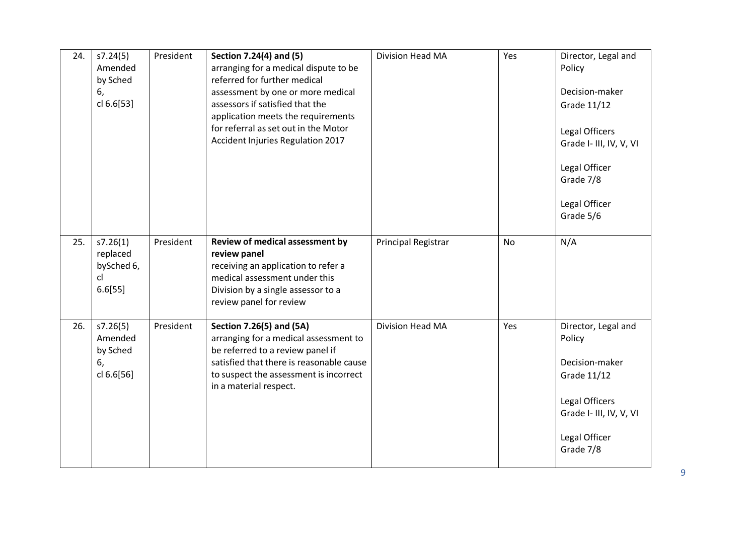| 24. | s7.24(5)<br>Amended<br>by Sched<br>6,<br>cl 6.6[53] | President | Section 7.24(4) and (5)<br>arranging for a medical dispute to be<br>referred for further medical<br>assessment by one or more medical<br>assessors if satisfied that the<br>application meets the requirements<br>for referral as set out in the Motor<br>Accident Injuries Regulation 2017 | Division Head MA        | Yes       | Director, Legal and<br>Policy<br>Decision-maker<br>Grade 11/12<br>Legal Officers<br>Grade I- III, IV, V, VI<br>Legal Officer<br>Grade 7/8<br>Legal Officer<br>Grade 5/6 |
|-----|-----------------------------------------------------|-----------|---------------------------------------------------------------------------------------------------------------------------------------------------------------------------------------------------------------------------------------------------------------------------------------------|-------------------------|-----------|-------------------------------------------------------------------------------------------------------------------------------------------------------------------------|
| 25. | s7.26(1)<br>replaced<br>bySched 6,<br>cl<br>6.6[55] | President | Review of medical assessment by<br>review panel<br>receiving an application to refer a<br>medical assessment under this<br>Division by a single assessor to a<br>review panel for review                                                                                                    | Principal Registrar     | <b>No</b> | N/A                                                                                                                                                                     |
| 26. | s7.26(5)<br>Amended<br>by Sched<br>6,<br>cl 6.6[56] | President | Section 7.26(5) and (5A)<br>arranging for a medical assessment to<br>be referred to a review panel if<br>satisfied that there is reasonable cause<br>to suspect the assessment is incorrect<br>in a material respect.                                                                       | <b>Division Head MA</b> | Yes       | Director, Legal and<br>Policy<br>Decision-maker<br>Grade 11/12<br>Legal Officers<br>Grade I- III, IV, V, VI<br>Legal Officer<br>Grade 7/8                               |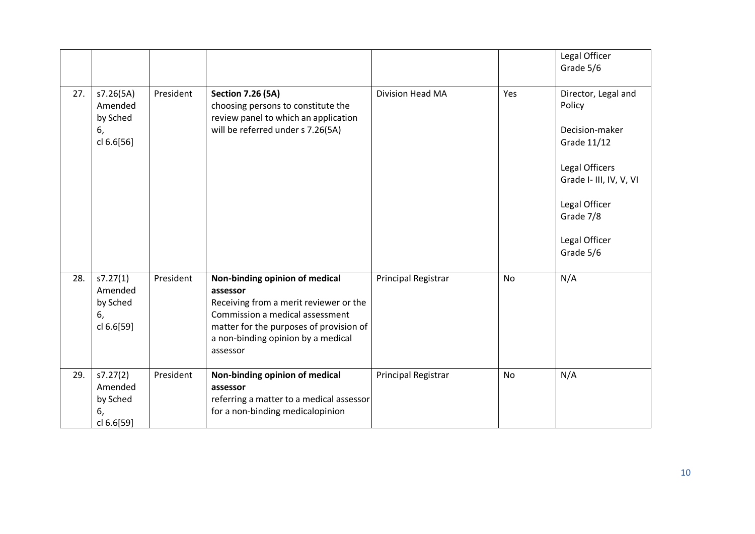|     |                                                      |           |                                                                                                                                                                                                                      |                     |           | Legal Officer<br>Grade 5/6                                                                                                                                              |
|-----|------------------------------------------------------|-----------|----------------------------------------------------------------------------------------------------------------------------------------------------------------------------------------------------------------------|---------------------|-----------|-------------------------------------------------------------------------------------------------------------------------------------------------------------------------|
| 27. | s7.26(5A)<br>Amended<br>by Sched<br>6,<br>cl 6.6[56] | President | <b>Section 7.26 (5A)</b><br>choosing persons to constitute the<br>review panel to which an application<br>will be referred under s 7.26(5A)                                                                          | Division Head MA    | Yes       | Director, Legal and<br>Policy<br>Decision-maker<br>Grade 11/12<br>Legal Officers<br>Grade I- III, IV, V, VI<br>Legal Officer<br>Grade 7/8<br>Legal Officer<br>Grade 5/6 |
| 28. | s7.27(1)<br>Amended<br>by Sched<br>6,<br>cl 6.6[59]  | President | Non-binding opinion of medical<br>assessor<br>Receiving from a merit reviewer or the<br>Commission a medical assessment<br>matter for the purposes of provision of<br>a non-binding opinion by a medical<br>assessor | Principal Registrar | <b>No</b> | N/A                                                                                                                                                                     |
| 29. | s7.27(2)<br>Amended<br>by Sched<br>6,<br>cl 6.6[59]  | President | Non-binding opinion of medical<br>assessor<br>referring a matter to a medical assessor<br>for a non-binding medicalopinion                                                                                           | Principal Registrar | <b>No</b> | N/A                                                                                                                                                                     |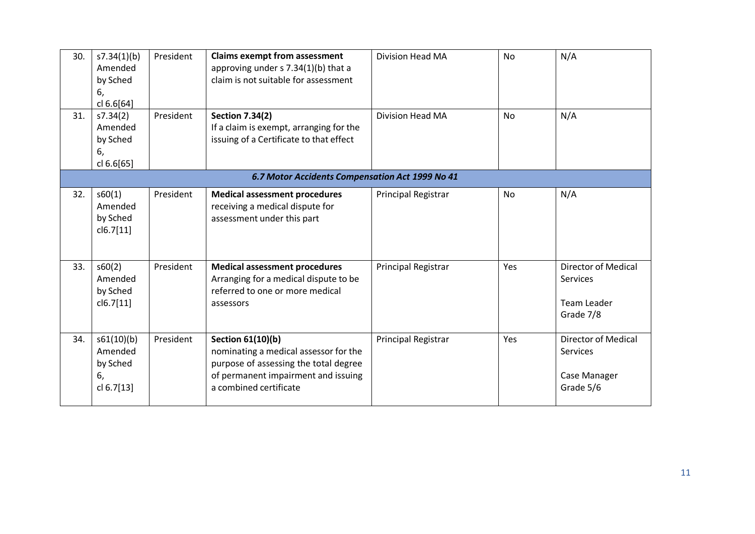| 30. | s7.34(1)(b)<br>Amended<br>by Sched<br>6,<br>cl 6.6[64] | President | <b>Claims exempt from assessment</b><br>approving under s 7.34(1)(b) that a<br>claim is not suitable for assessment                                                         | Division Head MA        | <b>No</b> | N/A                                                                 |  |  |
|-----|--------------------------------------------------------|-----------|-----------------------------------------------------------------------------------------------------------------------------------------------------------------------------|-------------------------|-----------|---------------------------------------------------------------------|--|--|
| 31. | s7.34(2)<br>Amended<br>by Sched<br>6,<br>cl 6.6[65]    | President | <b>Section 7.34(2)</b><br>If a claim is exempt, arranging for the<br>issuing of a Certificate to that effect                                                                | <b>Division Head MA</b> | <b>No</b> | N/A                                                                 |  |  |
|     | 6.7 Motor Accidents Compensation Act 1999 No 41        |           |                                                                                                                                                                             |                         |           |                                                                     |  |  |
| 32. | s60(1)<br>Amended<br>by Sched<br>cl6.7[11]             | President | <b>Medical assessment procedures</b><br>receiving a medical dispute for<br>assessment under this part                                                                       | Principal Registrar     | No        | N/A                                                                 |  |  |
| 33. | s60(2)<br>Amended<br>by Sched<br>cl6.7[11]             | President | <b>Medical assessment procedures</b><br>Arranging for a medical dispute to be<br>referred to one or more medical<br>assessors                                               | Principal Registrar     | Yes       | <b>Director of Medical</b><br>Services<br>Team Leader<br>Grade 7/8  |  |  |
| 34. | s61(10)(b)<br>Amended<br>by Sched<br>6,<br>cl 6.7[13]  | President | <b>Section 61(10)(b)</b><br>nominating a medical assessor for the<br>purpose of assessing the total degree<br>of permanent impairment and issuing<br>a combined certificate | Principal Registrar     | Yes       | <b>Director of Medical</b><br>Services<br>Case Manager<br>Grade 5/6 |  |  |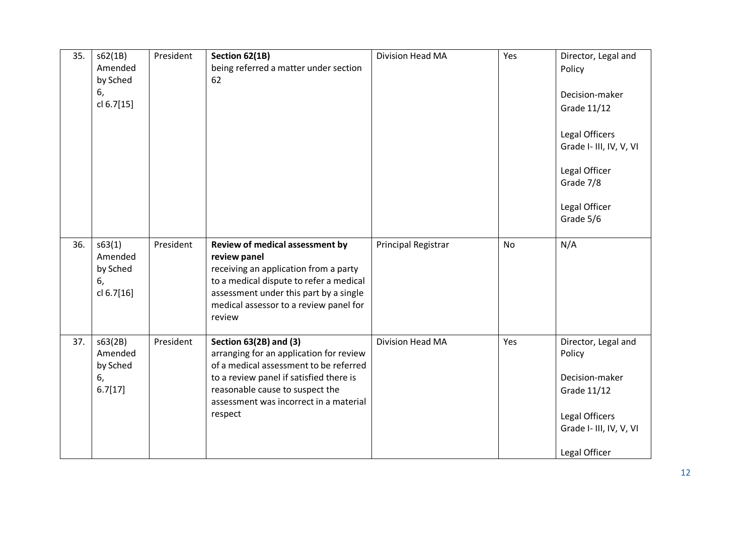| 35. | s62(1B)<br>Amended<br>by Sched<br>6,<br>cl 6.7[15] | President | Section 62(1B)<br>being referred a matter under section<br>62                                                                                                                                                                                         | Division Head MA    | Yes       | Director, Legal and<br>Policy<br>Decision-maker<br>Grade 11/12<br>Legal Officers<br>Grade I- III, IV, V, VI<br>Legal Officer<br>Grade 7/8<br>Legal Officer<br>Grade 5/6 |
|-----|----------------------------------------------------|-----------|-------------------------------------------------------------------------------------------------------------------------------------------------------------------------------------------------------------------------------------------------------|---------------------|-----------|-------------------------------------------------------------------------------------------------------------------------------------------------------------------------|
| 36. | s63(1)<br>Amended<br>by Sched<br>6,<br>cl 6.7[16]  | President | Review of medical assessment by<br>review panel<br>receiving an application from a party<br>to a medical dispute to refer a medical<br>assessment under this part by a single<br>medical assessor to a review panel for<br>review                     | Principal Registrar | <b>No</b> | N/A                                                                                                                                                                     |
| 37. | s63(2B)<br>Amended<br>by Sched<br>6,<br>6.7[17]    | President | <b>Section 63(2B) and (3)</b><br>arranging for an application for review<br>of a medical assessment to be referred<br>to a review panel if satisfied there is<br>reasonable cause to suspect the<br>assessment was incorrect in a material<br>respect | Division Head MA    | Yes       | Director, Legal and<br>Policy<br>Decision-maker<br>Grade 11/12<br>Legal Officers<br>Grade I- III, IV, V, VI<br>Legal Officer                                            |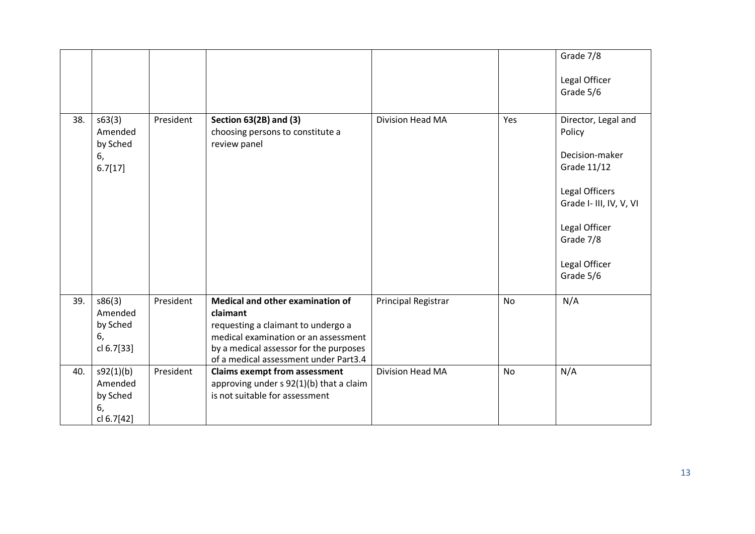|     |                                                      |           |                                                                                                                                                                                                               |                     |           | Grade 7/8                                                                                                                                                               |
|-----|------------------------------------------------------|-----------|---------------------------------------------------------------------------------------------------------------------------------------------------------------------------------------------------------------|---------------------|-----------|-------------------------------------------------------------------------------------------------------------------------------------------------------------------------|
|     |                                                      |           |                                                                                                                                                                                                               |                     |           | Legal Officer<br>Grade 5/6                                                                                                                                              |
| 38. | s63(3)<br>Amended<br>by Sched<br>6,<br>6.7[17]       | President | <b>Section 63(2B) and (3)</b><br>choosing persons to constitute a<br>review panel                                                                                                                             | Division Head MA    | Yes       | Director, Legal and<br>Policy<br>Decision-maker<br>Grade 11/12<br>Legal Officers<br>Grade I- III, IV, V, VI<br>Legal Officer<br>Grade 7/8<br>Legal Officer<br>Grade 5/6 |
| 39. | s86(3)<br>Amended<br>by Sched<br>6,<br>cl 6.7[33]    | President | Medical and other examination of<br>claimant<br>requesting a claimant to undergo a<br>medical examination or an assessment<br>by a medical assessor for the purposes<br>of a medical assessment under Part3.4 | Principal Registrar | <b>No</b> | N/A                                                                                                                                                                     |
| 40. | s92(1)(b)<br>Amended<br>by Sched<br>6,<br>cl 6.7[42] | President | <b>Claims exempt from assessment</b><br>approving under s 92(1)(b) that a claim<br>is not suitable for assessment                                                                                             | Division Head MA    | <b>No</b> | N/A                                                                                                                                                                     |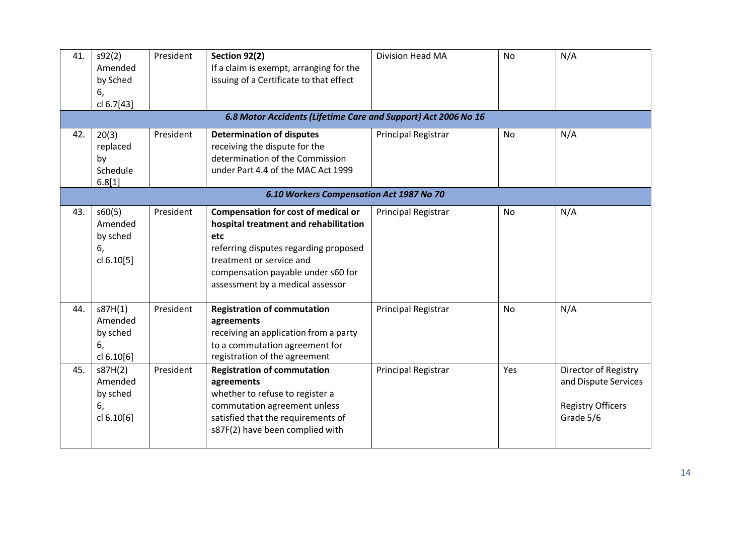| 41.<br>42. | s92(2)<br>Amended<br>by Sched<br>6,<br>cl 6.7[43]<br>20(3) | President<br>President | Section 92(2)<br>If a claim is exempt, arranging for the<br>issuing of a Certificate to that effect<br>6.8 Motor Accidents (Lifetime Care and Support) Act 2006 No 16<br><b>Determination of disputes</b>                          | Division Head MA<br>Principal Registrar | <b>No</b><br>No | N/A<br>N/A                                                                            |  |  |  |
|------------|------------------------------------------------------------|------------------------|------------------------------------------------------------------------------------------------------------------------------------------------------------------------------------------------------------------------------------|-----------------------------------------|-----------------|---------------------------------------------------------------------------------------|--|--|--|
|            | replaced<br>by<br>Schedule<br>6.8[1]                       |                        | receiving the dispute for the<br>determination of the Commission<br>under Part 4.4 of the MAC Act 1999                                                                                                                             |                                         |                 |                                                                                       |  |  |  |
|            | 6.10 Workers Compensation Act 1987 No 70                   |                        |                                                                                                                                                                                                                                    |                                         |                 |                                                                                       |  |  |  |
| 43.        | s60(5)<br>Amended<br>by sched<br>6,<br>cl 6.10[5]          | President              | Compensation for cost of medical or<br>hospital treatment and rehabilitation<br>etc<br>referring disputes regarding proposed<br>treatment or service and<br>compensation payable under s60 for<br>assessment by a medical assessor | Principal Registrar                     | No              | N/A                                                                                   |  |  |  |
| 44.        | s87H(1)<br>Amended<br>by sched<br>6,<br>cl 6.10[6]         | President              | <b>Registration of commutation</b><br>agreements<br>receiving an application from a party<br>to a commutation agreement for<br>registration of the agreement                                                                       | Principal Registrar                     | No              | N/A                                                                                   |  |  |  |
| 45.        | s87H(2)<br>Amended<br>by sched<br>6,<br>cl 6.10[6]         | President              | <b>Registration of commutation</b><br>agreements<br>whether to refuse to register a<br>commutation agreement unless<br>satisfied that the requirements of<br>s87F(2) have been complied with                                       | Principal Registrar                     | Yes             | Director of Registry<br>and Dispute Services<br><b>Registry Officers</b><br>Grade 5/6 |  |  |  |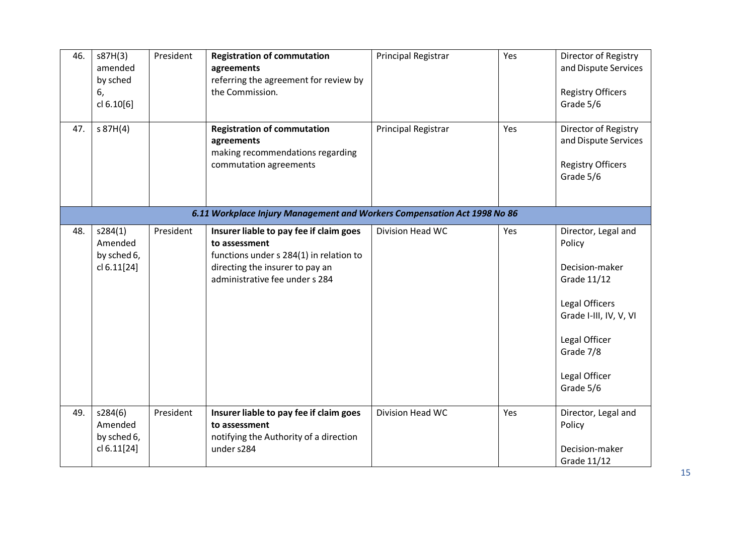| 46. | s87H(3)<br>amended<br>by sched<br>6,<br>cl 6.10[6]                       | President | <b>Registration of commutation</b><br>agreements<br>referring the agreement for review by<br>the Commission.                                                             | Principal Registrar | Yes | Director of Registry<br>and Dispute Services<br><b>Registry Officers</b><br>Grade 5/6                                                                                  |  |  |  |
|-----|--------------------------------------------------------------------------|-----------|--------------------------------------------------------------------------------------------------------------------------------------------------------------------------|---------------------|-----|------------------------------------------------------------------------------------------------------------------------------------------------------------------------|--|--|--|
| 47. | $s$ 87H(4)                                                               |           | <b>Registration of commutation</b><br>agreements<br>making recommendations regarding<br>commutation agreements                                                           | Principal Registrar | Yes | Director of Registry<br>and Dispute Services<br><b>Registry Officers</b><br>Grade 5/6                                                                                  |  |  |  |
|     | 6.11 Workplace Injury Management and Workers Compensation Act 1998 No 86 |           |                                                                                                                                                                          |                     |     |                                                                                                                                                                        |  |  |  |
| 48. | s284(1)<br>Amended<br>by sched 6,<br>cl 6.11[24]                         | President | Insurer liable to pay fee if claim goes<br>to assessment<br>functions under s 284(1) in relation to<br>directing the insurer to pay an<br>administrative fee under s 284 | Division Head WC    | Yes | Director, Legal and<br>Policy<br>Decision-maker<br>Grade 11/12<br>Legal Officers<br>Grade I-III, IV, V, VI<br>Legal Officer<br>Grade 7/8<br>Legal Officer<br>Grade 5/6 |  |  |  |
| 49. | s284(6)<br>Amended<br>by sched 6,<br>cl 6.11[24]                         | President | Insurer liable to pay fee if claim goes<br>to assessment<br>notifying the Authority of a direction<br>under s284                                                         | Division Head WC    | Yes | Director, Legal and<br>Policy<br>Decision-maker<br>Grade 11/12                                                                                                         |  |  |  |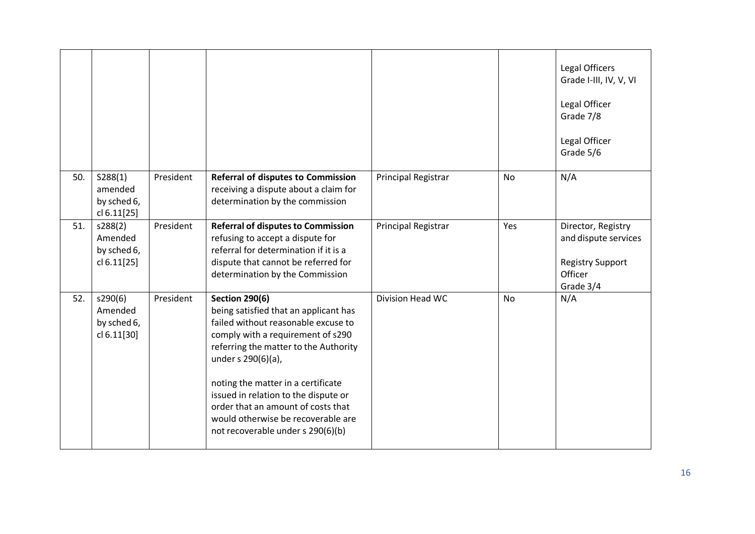|     |                                                  |           |                                                                                                                                                                                                                                                                                                                                                                                                          |                     |           | Legal Officers<br>Grade I-III, IV, V, VI<br>Legal Officer<br>Grade 7/8<br>Legal Officer<br>Grade 5/6 |
|-----|--------------------------------------------------|-----------|----------------------------------------------------------------------------------------------------------------------------------------------------------------------------------------------------------------------------------------------------------------------------------------------------------------------------------------------------------------------------------------------------------|---------------------|-----------|------------------------------------------------------------------------------------------------------|
| 50. | S288(1)<br>amended<br>by sched 6,<br>cl 6.11[25] | President | <b>Referral of disputes to Commission</b><br>receiving a dispute about a claim for<br>determination by the commission                                                                                                                                                                                                                                                                                    | Principal Registrar | No        | N/A                                                                                                  |
| 51. | s288(2)<br>Amended<br>by sched 6,<br>cl 6.11[25] | President | <b>Referral of disputes to Commission</b><br>refusing to accept a dispute for<br>referral for determination if it is a<br>dispute that cannot be referred for<br>determination by the Commission                                                                                                                                                                                                         | Principal Registrar | Yes       | Director, Registry<br>and dispute services<br><b>Registry Support</b><br>Officer<br>Grade 3/4        |
| 52. | s290(6)<br>Amended<br>by sched 6,<br>cl 6.11[30] | President | <b>Section 290(6)</b><br>being satisfied that an applicant has<br>failed without reasonable excuse to<br>comply with a requirement of s290<br>referring the matter to the Authority<br>under s 290(6)(a),<br>noting the matter in a certificate<br>issued in relation to the dispute or<br>order that an amount of costs that<br>would otherwise be recoverable are<br>not recoverable under s 290(6)(b) | Division Head WC    | <b>No</b> | N/A                                                                                                  |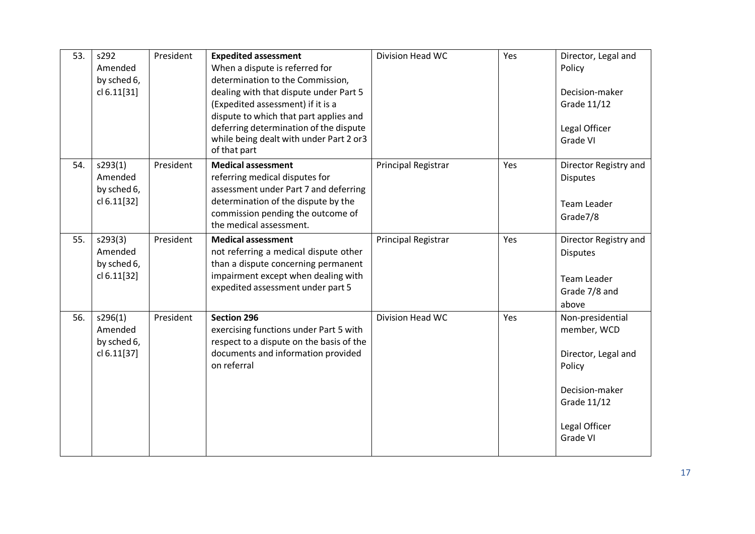| 53. | s292<br>Amended<br>by sched 6,<br>cl 6.11[31]    | President | <b>Expedited assessment</b><br>When a dispute is referred for<br>determination to the Commission,<br>dealing with that dispute under Part 5<br>(Expedited assessment) if it is a<br>dispute to which that part applies and<br>deferring determination of the dispute<br>while being dealt with under Part 2 or3<br>of that part | Division Head WC    | Yes | Director, Legal and<br>Policy<br>Decision-maker<br>Grade 11/12<br>Legal Officer<br>Grade VI                                    |
|-----|--------------------------------------------------|-----------|---------------------------------------------------------------------------------------------------------------------------------------------------------------------------------------------------------------------------------------------------------------------------------------------------------------------------------|---------------------|-----|--------------------------------------------------------------------------------------------------------------------------------|
| 54. | s293(1)<br>Amended<br>by sched 6,<br>cl 6.11[32] | President | <b>Medical assessment</b><br>referring medical disputes for<br>assessment under Part 7 and deferring<br>determination of the dispute by the<br>commission pending the outcome of<br>the medical assessment.                                                                                                                     | Principal Registrar | Yes | Director Registry and<br><b>Disputes</b><br><b>Team Leader</b><br>Grade7/8                                                     |
| 55. | s293(3)<br>Amended<br>by sched 6,<br>cl 6.11[32] | President | <b>Medical assessment</b><br>not referring a medical dispute other<br>than a dispute concerning permanent<br>impairment except when dealing with<br>expedited assessment under part 5                                                                                                                                           | Principal Registrar | Yes | Director Registry and<br><b>Disputes</b><br><b>Team Leader</b><br>Grade 7/8 and<br>above                                       |
| 56. | s296(1)<br>Amended<br>by sched 6,<br>cl 6.11[37] | President | <b>Section 296</b><br>exercising functions under Part 5 with<br>respect to a dispute on the basis of the<br>documents and information provided<br>on referral                                                                                                                                                                   | Division Head WC    | Yes | Non-presidential<br>member, WCD<br>Director, Legal and<br>Policy<br>Decision-maker<br>Grade 11/12<br>Legal Officer<br>Grade VI |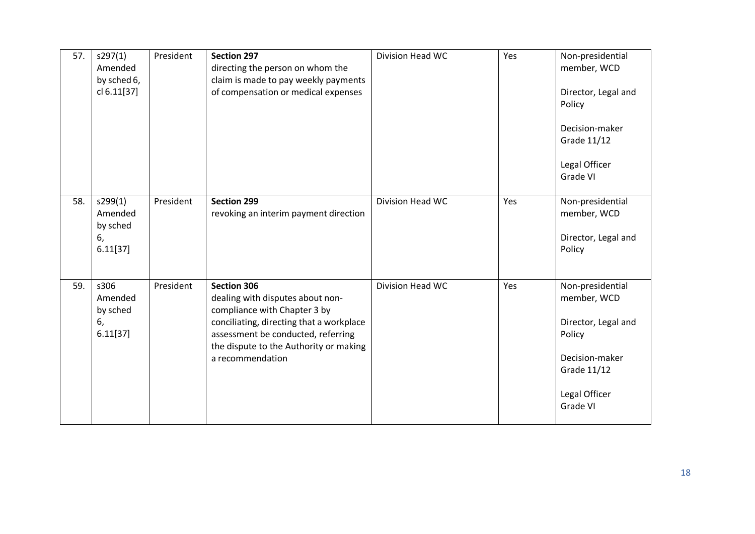| 57. | s297(1)<br>Amended<br>by sched 6,<br>cl 6.11[37] | President | <b>Section 297</b><br>directing the person on whom the<br>claim is made to pay weekly payments<br>of compensation or medical expenses                                                                                                  | Division Head WC | Yes | Non-presidential<br>member, WCD<br>Director, Legal and<br>Policy<br>Decision-maker<br>Grade 11/12<br>Legal Officer<br>Grade VI |
|-----|--------------------------------------------------|-----------|----------------------------------------------------------------------------------------------------------------------------------------------------------------------------------------------------------------------------------------|------------------|-----|--------------------------------------------------------------------------------------------------------------------------------|
| 58. | s299(1)<br>Amended<br>by sched<br>6,<br>6.11[37] | President | <b>Section 299</b><br>revoking an interim payment direction                                                                                                                                                                            | Division Head WC | Yes | Non-presidential<br>member, WCD<br>Director, Legal and<br>Policy                                                               |
| 59. | s306<br>Amended<br>by sched<br>6,<br>6.11[37]    | President | <b>Section 306</b><br>dealing with disputes about non-<br>compliance with Chapter 3 by<br>conciliating, directing that a workplace<br>assessment be conducted, referring<br>the dispute to the Authority or making<br>a recommendation | Division Head WC | Yes | Non-presidential<br>member, WCD<br>Director, Legal and<br>Policy<br>Decision-maker<br>Grade 11/12<br>Legal Officer<br>Grade VI |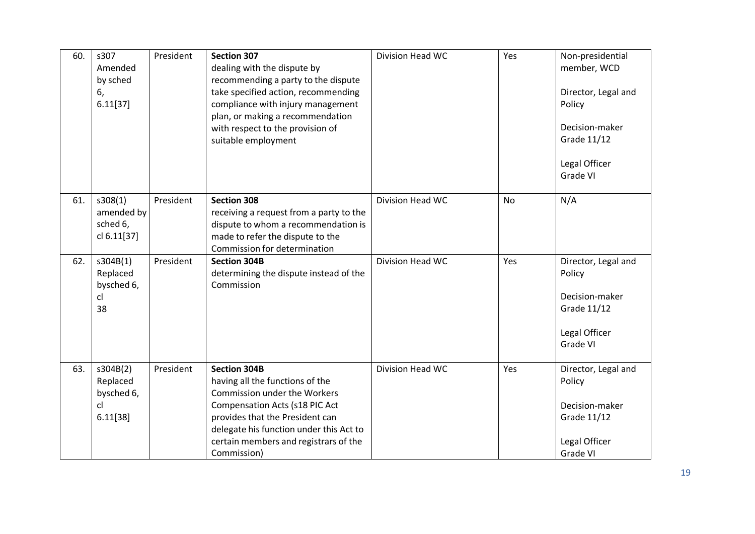| 60. | s307<br>Amended<br>by sched<br>6,<br>6.11[37]        | President | <b>Section 307</b><br>dealing with the dispute by<br>recommending a party to the dispute<br>take specified action, recommending<br>compliance with injury management<br>plan, or making a recommendation<br>with respect to the provision of<br>suitable employment   | Division Head WC | Yes       | Non-presidential<br>member, WCD<br>Director, Legal and<br>Policy<br>Decision-maker<br>Grade 11/12<br>Legal Officer<br>Grade VI |
|-----|------------------------------------------------------|-----------|-----------------------------------------------------------------------------------------------------------------------------------------------------------------------------------------------------------------------------------------------------------------------|------------------|-----------|--------------------------------------------------------------------------------------------------------------------------------|
| 61. | s308(1)<br>amended by<br>sched 6,<br>cl 6.11[37]     | President | <b>Section 308</b><br>receiving a request from a party to the<br>dispute to whom a recommendation is<br>made to refer the dispute to the<br>Commission for determination                                                                                              | Division Head WC | <b>No</b> | N/A                                                                                                                            |
| 62. | s304B(1)<br>Replaced<br>bysched 6,<br>cl<br>38       | President | <b>Section 304B</b><br>determining the dispute instead of the<br>Commission                                                                                                                                                                                           | Division Head WC | Yes       | Director, Legal and<br>Policy<br>Decision-maker<br>Grade 11/12<br>Legal Officer<br>Grade VI                                    |
| 63. | s304B(2)<br>Replaced<br>bysched 6,<br>cl<br>6.11[38] | President | <b>Section 304B</b><br>having all the functions of the<br>Commission under the Workers<br><b>Compensation Acts (s18 PIC Act</b><br>provides that the President can<br>delegate his function under this Act to<br>certain members and registrars of the<br>Commission) | Division Head WC | Yes       | Director, Legal and<br>Policy<br>Decision-maker<br>Grade 11/12<br>Legal Officer<br>Grade VI                                    |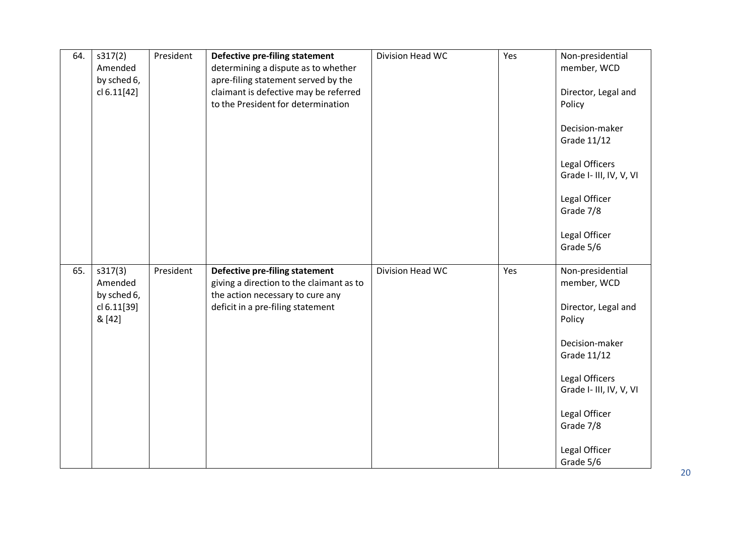| 64. | s317(2)<br>Amended<br>by sched 6,<br>cl 6.11[42]           | President | Defective pre-filing statement<br>determining a dispute as to whether<br>apre-filing statement served by the<br>claimant is defective may be referred<br>to the President for determination | Division Head WC | Yes | Non-presidential<br>member, WCD<br>Director, Legal and<br>Policy<br>Decision-maker<br>Grade 11/12<br>Legal Officers<br>Grade I- III, IV, V, VI                                                                    |
|-----|------------------------------------------------------------|-----------|---------------------------------------------------------------------------------------------------------------------------------------------------------------------------------------------|------------------|-----|-------------------------------------------------------------------------------------------------------------------------------------------------------------------------------------------------------------------|
|     |                                                            |           |                                                                                                                                                                                             |                  |     | Legal Officer<br>Grade 7/8<br>Legal Officer<br>Grade 5/6                                                                                                                                                          |
| 65. | s317(3)<br>Amended<br>by sched 6,<br>cl 6.11[39]<br>& [42] | President | Defective pre-filing statement<br>giving a direction to the claimant as to<br>the action necessary to cure any<br>deficit in a pre-filing statement                                         | Division Head WC | Yes | Non-presidential<br>member, WCD<br>Director, Legal and<br>Policy<br>Decision-maker<br><b>Grade 11/12</b><br>Legal Officers<br>Grade I- III, IV, V, VI<br>Legal Officer<br>Grade 7/8<br>Legal Officer<br>Grade 5/6 |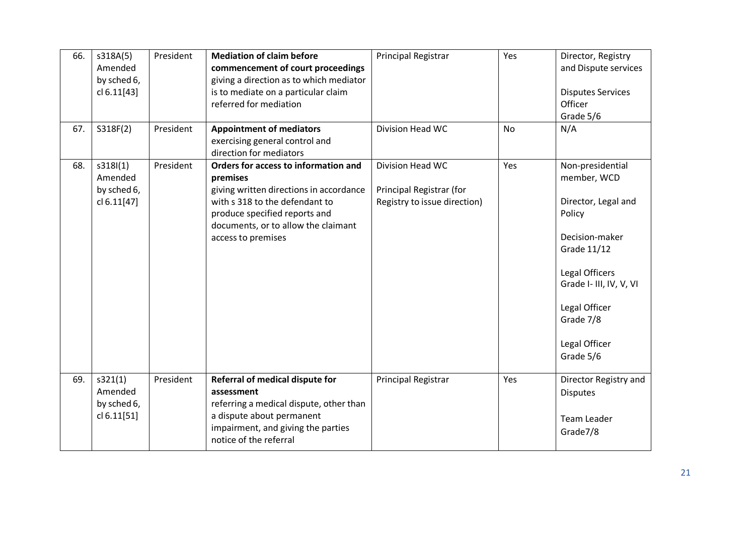| 66.<br>67. | s318A(5)<br>Amended<br>by sched 6,<br>cl 6.11[43]<br>S318F(2) | President<br>President | <b>Mediation of claim before</b><br>commencement of court proceedings<br>giving a direction as to which mediator<br>is to mediate on a particular claim<br>referred for mediation<br><b>Appointment of mediators</b>        | Principal Registrar<br>Division Head WC                                      | Yes<br><b>No</b> | Director, Registry<br>and Dispute services<br><b>Disputes Services</b><br>Officer<br>Grade 5/6<br>N/A                                                                                                      |
|------------|---------------------------------------------------------------|------------------------|-----------------------------------------------------------------------------------------------------------------------------------------------------------------------------------------------------------------------------|------------------------------------------------------------------------------|------------------|------------------------------------------------------------------------------------------------------------------------------------------------------------------------------------------------------------|
|            |                                                               |                        | exercising general control and<br>direction for mediators                                                                                                                                                                   |                                                                              |                  |                                                                                                                                                                                                            |
| 68.        | s318I(1)<br>Amended<br>by sched 6,<br>cl 6.11[47]             | President              | Orders for access to information and<br>premises<br>giving written directions in accordance<br>with s 318 to the defendant to<br>produce specified reports and<br>documents, or to allow the claimant<br>access to premises | Division Head WC<br>Principal Registrar (for<br>Registry to issue direction) | Yes              | Non-presidential<br>member, WCD<br>Director, Legal and<br>Policy<br>Decision-maker<br>Grade 11/12<br>Legal Officers<br>Grade I- III, IV, V, VI<br>Legal Officer<br>Grade 7/8<br>Legal Officer<br>Grade 5/6 |
| 69.        | s321(1)<br>Amended<br>by sched 6,<br>cl 6.11[51]              | President              | Referral of medical dispute for<br>assessment<br>referring a medical dispute, other than<br>a dispute about permanent<br>impairment, and giving the parties<br>notice of the referral                                       | Principal Registrar                                                          | Yes              | Director Registry and<br><b>Disputes</b><br><b>Team Leader</b><br>Grade7/8                                                                                                                                 |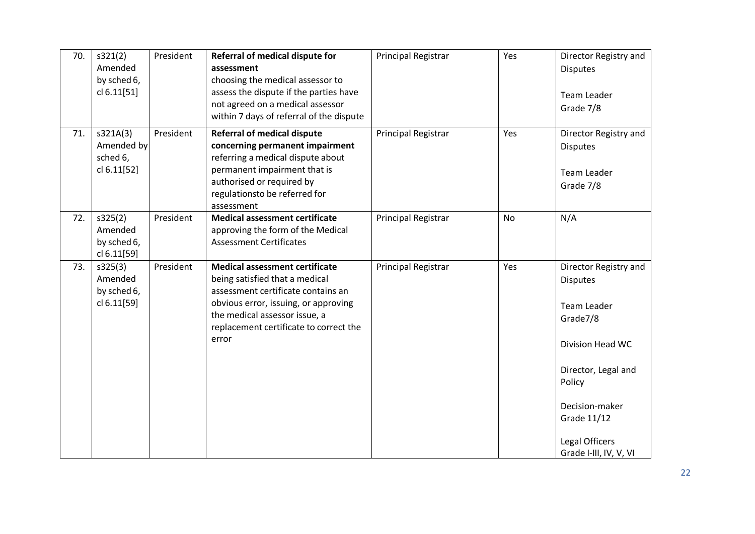| 70. | s321(2)<br>Amended<br>by sched 6,<br>cl 6.11[51]  | President | Referral of medical dispute for<br>assessment<br>choosing the medical assessor to<br>assess the dispute if the parties have<br>not agreed on a medical assessor<br>within 7 days of referral of the dispute                               | Principal Registrar | Yes       | Director Registry and<br><b>Disputes</b><br>Team Leader<br>Grade 7/8                                                                                                                                         |
|-----|---------------------------------------------------|-----------|-------------------------------------------------------------------------------------------------------------------------------------------------------------------------------------------------------------------------------------------|---------------------|-----------|--------------------------------------------------------------------------------------------------------------------------------------------------------------------------------------------------------------|
| 71. | s321A(3)<br>Amended by<br>sched 6,<br>cl 6.11[52] | President | <b>Referral of medical dispute</b><br>concerning permanent impairment<br>referring a medical dispute about<br>permanent impairment that is<br>authorised or required by<br>regulationsto be referred for<br>assessment                    | Principal Registrar | Yes       | Director Registry and<br><b>Disputes</b><br>Team Leader<br>Grade 7/8                                                                                                                                         |
| 72. | s325(2)<br>Amended<br>by sched 6,<br>cl 6.11[59]  | President | <b>Medical assessment certificate</b><br>approving the form of the Medical<br><b>Assessment Certificates</b>                                                                                                                              | Principal Registrar | <b>No</b> | N/A                                                                                                                                                                                                          |
| 73. | s325(3)<br>Amended<br>by sched 6,<br>cl 6.11[59]  | President | <b>Medical assessment certificate</b><br>being satisfied that a medical<br>assessment certificate contains an<br>obvious error, issuing, or approving<br>the medical assessor issue, a<br>replacement certificate to correct the<br>error | Principal Registrar | Yes       | Director Registry and<br><b>Disputes</b><br>Team Leader<br>Grade7/8<br>Division Head WC<br>Director, Legal and<br>Policy<br>Decision-maker<br><b>Grade 11/12</b><br>Legal Officers<br>Grade I-III, IV, V, VI |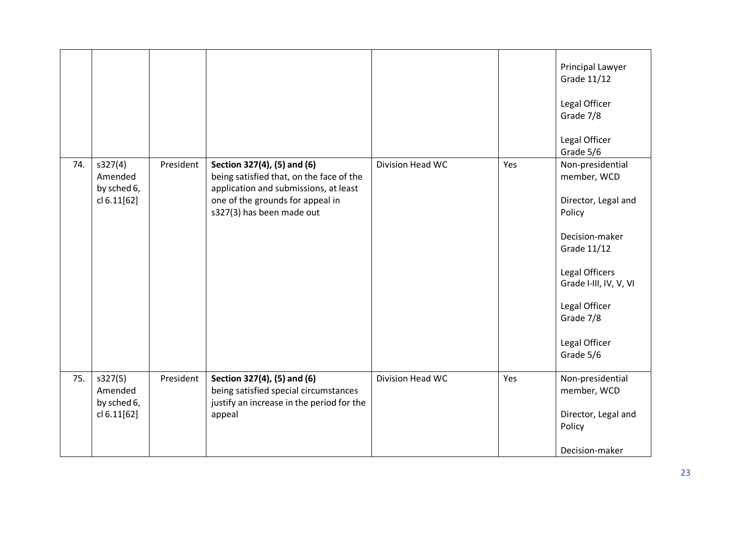|     |                                                  |           |                                                                                                                                                                                   |                  |     | Principal Lawyer<br>Grade 11/12<br>Legal Officer<br>Grade 7/8<br>Legal Officer<br>Grade 5/6                                                                                                               |
|-----|--------------------------------------------------|-----------|-----------------------------------------------------------------------------------------------------------------------------------------------------------------------------------|------------------|-----|-----------------------------------------------------------------------------------------------------------------------------------------------------------------------------------------------------------|
| 74. | s327(4)<br>Amended<br>by sched 6,<br>cl 6.11[62] | President | Section 327(4), (5) and (6)<br>being satisfied that, on the face of the<br>application and submissions, at least<br>one of the grounds for appeal in<br>s327(3) has been made out | Division Head WC | Yes | Non-presidential<br>member, WCD<br>Director, Legal and<br>Policy<br>Decision-maker<br>Grade 11/12<br>Legal Officers<br>Grade I-III, IV, V, VI<br>Legal Officer<br>Grade 7/8<br>Legal Officer<br>Grade 5/6 |
| 75. | s327(5)<br>Amended<br>by sched 6,<br>cl 6.11[62] | President | Section 327(4), (5) and (6)<br>being satisfied special circumstances<br>justify an increase in the period for the<br>appeal                                                       | Division Head WC | Yes | Non-presidential<br>member, WCD<br>Director, Legal and<br>Policy<br>Decision-maker                                                                                                                        |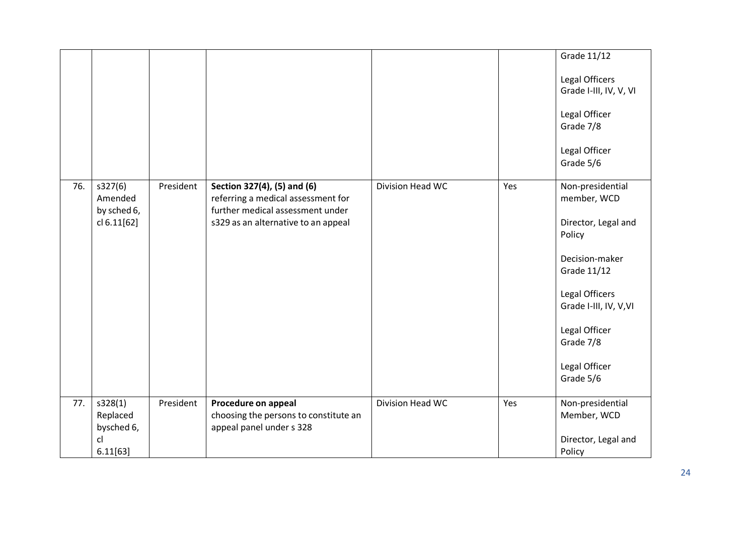|     |                                   |           |                                                                                                       |                  |     | Grade 11/12                              |
|-----|-----------------------------------|-----------|-------------------------------------------------------------------------------------------------------|------------------|-----|------------------------------------------|
|     |                                   |           |                                                                                                       |                  |     | Legal Officers<br>Grade I-III, IV, V, VI |
|     |                                   |           |                                                                                                       |                  |     | Legal Officer<br>Grade 7/8               |
|     |                                   |           |                                                                                                       |                  |     | Legal Officer<br>Grade 5/6               |
| 76. | s327(6)<br>Amended                | President | Section 327(4), (5) and (6)<br>referring a medical assessment for<br>further medical assessment under | Division Head WC | Yes | Non-presidential<br>member, WCD          |
|     | by sched 6,<br>cl 6.11[62]        |           | s329 as an alternative to an appeal                                                                   |                  |     | Director, Legal and<br>Policy            |
|     |                                   |           |                                                                                                       |                  |     | Decision-maker<br>Grade 11/12            |
|     |                                   |           |                                                                                                       |                  |     | Legal Officers<br>Grade I-III, IV, V, VI |
|     |                                   |           |                                                                                                       |                  |     | Legal Officer<br>Grade 7/8               |
|     |                                   |           |                                                                                                       |                  |     | Legal Officer<br>Grade 5/6               |
| 77. | s328(1)<br>Replaced<br>bysched 6, | President | Procedure on appeal<br>choosing the persons to constitute an<br>appeal panel under s 328              | Division Head WC | Yes | Non-presidential<br>Member, WCD          |
|     | cl<br>6.11[63]                    |           |                                                                                                       |                  |     | Director, Legal and<br>Policy            |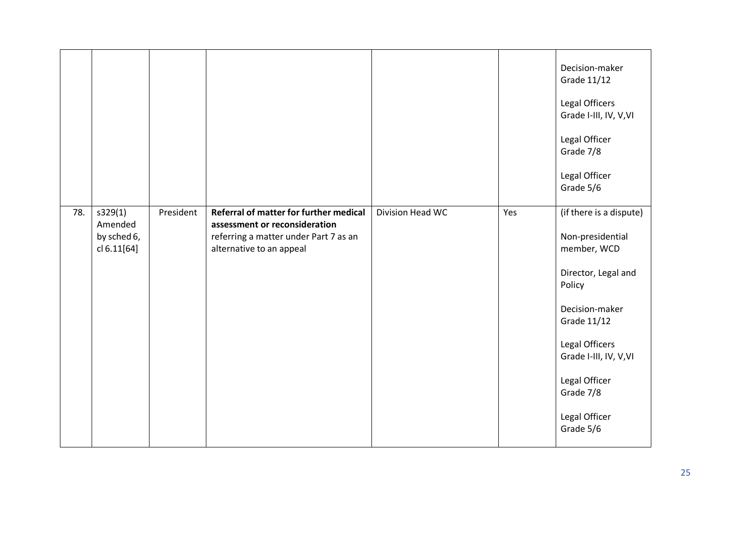|     |                                                  |           |                                                                                                                                              |                  |     | Decision-maker<br>Grade 11/12<br>Legal Officers<br>Grade I-III, IV, V, VI<br>Legal Officer<br>Grade 7/8<br>Legal Officer<br>Grade 5/6                                                                                                       |
|-----|--------------------------------------------------|-----------|----------------------------------------------------------------------------------------------------------------------------------------------|------------------|-----|---------------------------------------------------------------------------------------------------------------------------------------------------------------------------------------------------------------------------------------------|
| 78. | s329(1)<br>Amended<br>by sched 6,<br>cl 6.11[64] | President | Referral of matter for further medical<br>assessment or reconsideration<br>referring a matter under Part 7 as an<br>alternative to an appeal | Division Head WC | Yes | (if there is a dispute)<br>Non-presidential<br>member, WCD<br>Director, Legal and<br>Policy<br>Decision-maker<br><b>Grade 11/12</b><br>Legal Officers<br>Grade I-III, IV, V, VI<br>Legal Officer<br>Grade 7/8<br>Legal Officer<br>Grade 5/6 |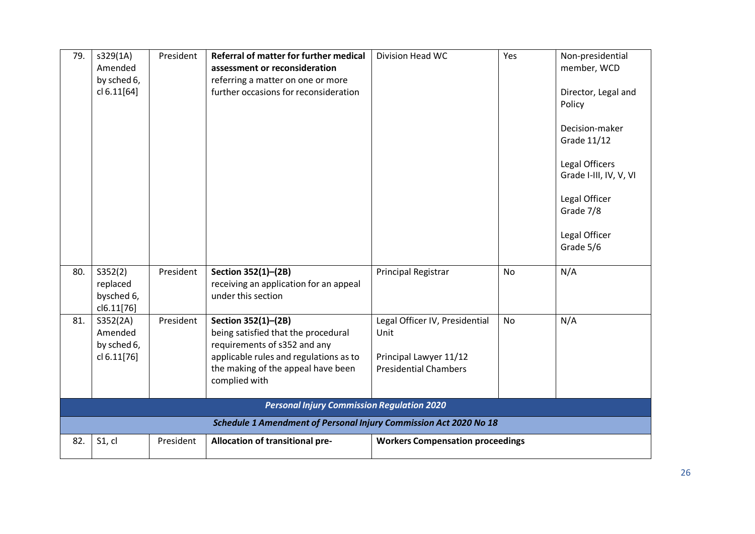| 79. | s329(1A)<br>Amended<br>by sched 6,<br>cl 6.11[64] | President | Referral of matter for further medical<br>assessment or reconsideration<br>referring a matter on one or more<br>further occasions for reconsideration                                       | Division Head WC                                                                                 | Yes       | Non-presidential<br>member, WCD<br>Director, Legal and<br>Policy<br>Decision-maker<br>Grade 11/12<br>Legal Officers<br>Grade I-III, IV, V, VI<br>Legal Officer<br>Grade 7/8<br>Legal Officer<br>Grade 5/6 |
|-----|---------------------------------------------------|-----------|---------------------------------------------------------------------------------------------------------------------------------------------------------------------------------------------|--------------------------------------------------------------------------------------------------|-----------|-----------------------------------------------------------------------------------------------------------------------------------------------------------------------------------------------------------|
| 80. | S352(2)<br>replaced<br>bysched 6,<br>cl6.11[76]   | President | Section 352(1)-(2B)<br>receiving an application for an appeal<br>under this section                                                                                                         | <b>Principal Registrar</b>                                                                       | <b>No</b> | N/A                                                                                                                                                                                                       |
| 81. | S352(2A)<br>Amended<br>by sched 6,<br>cl 6.11[76] | President | Section 352(1)-(2B)<br>being satisfied that the procedural<br>requirements of s352 and any<br>applicable rules and regulations as to<br>the making of the appeal have been<br>complied with | Legal Officer IV, Presidential<br>Unit<br>Principal Lawyer 11/12<br><b>Presidential Chambers</b> | No        | N/A                                                                                                                                                                                                       |
|     |                                                   |           | <b>Personal Injury Commission Regulation 2020</b>                                                                                                                                           |                                                                                                  |           |                                                                                                                                                                                                           |
|     |                                                   |           | Schedule 1 Amendment of Personal Injury Commission Act 2020 No 18                                                                                                                           |                                                                                                  |           |                                                                                                                                                                                                           |
| 82. | S1, cl                                            | President | Allocation of transitional pre-                                                                                                                                                             | <b>Workers Compensation proceedings</b>                                                          |           |                                                                                                                                                                                                           |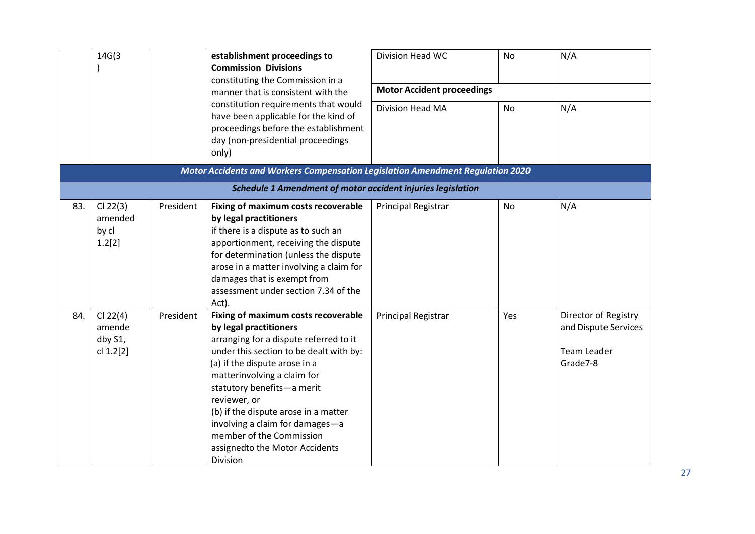|     | 14G(3)                                                                                                                                                                                                   |                                   | establishment proceedings to<br><b>Commission Divisions</b><br>constituting the Commission in a                                                                                                                                                                                                                                                                                                                       | Division Head WC    | <b>No</b> | N/A                                                                     |
|-----|----------------------------------------------------------------------------------------------------------------------------------------------------------------------------------------------------------|-----------------------------------|-----------------------------------------------------------------------------------------------------------------------------------------------------------------------------------------------------------------------------------------------------------------------------------------------------------------------------------------------------------------------------------------------------------------------|---------------------|-----------|-------------------------------------------------------------------------|
|     | manner that is consistent with the<br>constitution requirements that would<br>have been applicable for the kind of<br>proceedings before the establishment<br>day (non-presidential proceedings<br>only) | <b>Motor Accident proceedings</b> |                                                                                                                                                                                                                                                                                                                                                                                                                       |                     |           |                                                                         |
|     |                                                                                                                                                                                                          | Division Head MA                  | No                                                                                                                                                                                                                                                                                                                                                                                                                    | N/A                 |           |                                                                         |
|     |                                                                                                                                                                                                          |                                   | Motor Accidents and Workers Compensation Legislation Amendment Regulation 2020                                                                                                                                                                                                                                                                                                                                        |                     |           |                                                                         |
|     |                                                                                                                                                                                                          |                                   | <b>Schedule 1 Amendment of motor accident injuries legislation</b>                                                                                                                                                                                                                                                                                                                                                    |                     |           |                                                                         |
| 83. | $Cl$ 22(3)<br>amended<br>by cl<br>1.2[2]                                                                                                                                                                 | President                         | Fixing of maximum costs recoverable<br>by legal practitioners<br>if there is a dispute as to such an<br>apportionment, receiving the dispute<br>for determination (unless the dispute<br>arose in a matter involving a claim for<br>damages that is exempt from<br>assessment under section 7.34 of the<br>Act).                                                                                                      | Principal Registrar | No        | N/A                                                                     |
| 84. | Cl 22(4)<br>amende<br>dby S1,<br>cl 1.2[2]                                                                                                                                                               | President                         | Fixing of maximum costs recoverable<br>by legal practitioners<br>arranging for a dispute referred to it<br>under this section to be dealt with by:<br>(a) if the dispute arose in a<br>matterinvolving a claim for<br>statutory benefits-a merit<br>reviewer, or<br>(b) if the dispute arose in a matter<br>involving a claim for damages-a<br>member of the Commission<br>assignedto the Motor Accidents<br>Division | Principal Registrar | Yes       | Director of Registry<br>and Dispute Services<br>Team Leader<br>Grade7-8 |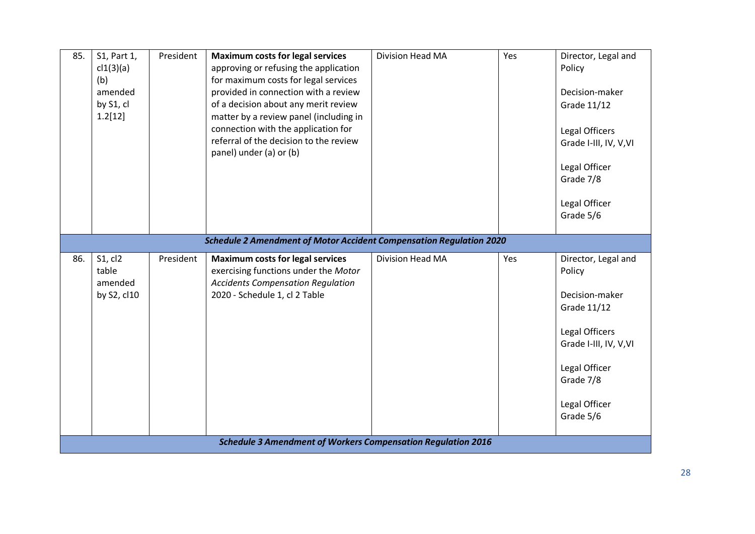| 85. | S1, Part 1,<br>cl1(3)(a)<br>(b)<br>amended<br>by S1, cl<br>1.2[12] | President | <b>Maximum costs for legal services</b><br>approving or refusing the application<br>for maximum costs for legal services<br>provided in connection with a review<br>of a decision about any merit review<br>matter by a review panel (including in<br>connection with the application for<br>referral of the decision to the review<br>panel) under (a) or (b) | Division Head MA | Yes | Director, Legal and<br>Policy<br>Decision-maker<br>Grade 11/12<br>Legal Officers<br>Grade I-III, IV, V, VI<br>Legal Officer<br>Grade 7/8<br>Legal Officer<br>Grade 5/6 |
|-----|--------------------------------------------------------------------|-----------|----------------------------------------------------------------------------------------------------------------------------------------------------------------------------------------------------------------------------------------------------------------------------------------------------------------------------------------------------------------|------------------|-----|------------------------------------------------------------------------------------------------------------------------------------------------------------------------|
|     |                                                                    |           | <b>Schedule 2 Amendment of Motor Accident Compensation Regulation 2020</b>                                                                                                                                                                                                                                                                                     |                  |     |                                                                                                                                                                        |
| 86. | S1, cl2<br>table<br>amended<br>by S2, cl10                         | President | <b>Maximum costs for legal services</b><br>exercising functions under the Motor<br><b>Accidents Compensation Regulation</b><br>2020 - Schedule 1, cl 2 Table                                                                                                                                                                                                   | Division Head MA | Yes | Director, Legal and<br>Policy<br>Decision-maker<br>Grade 11/12<br>Legal Officers<br>Grade I-III, IV, V, VI<br>Legal Officer<br>Grade 7/8<br>Legal Officer<br>Grade 5/6 |
|     |                                                                    |           | <b>Schedule 3 Amendment of Workers Compensation Regulation 2016</b>                                                                                                                                                                                                                                                                                            |                  |     |                                                                                                                                                                        |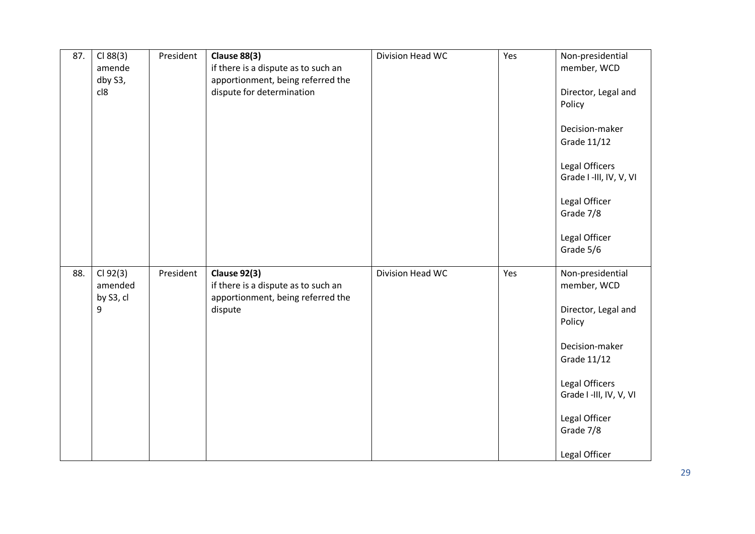| 87. | Cl 88(3)<br>amende<br>dby S3,<br>cl8  | President | <b>Clause 88(3)</b><br>if there is a dispute as to such an<br>apportionment, being referred the<br>dispute for determination | Division Head WC | Yes | Non-presidential<br>member, WCD<br>Director, Legal and<br>Policy<br>Decision-maker<br>Grade 11/12<br>Legal Officers<br>Grade I -III, IV, V, VI<br>Legal Officer<br>Grade 7/8<br>Legal Officer              |
|-----|---------------------------------------|-----------|------------------------------------------------------------------------------------------------------------------------------|------------------|-----|------------------------------------------------------------------------------------------------------------------------------------------------------------------------------------------------------------|
| 88. | Cl 92(3)<br>amended<br>by S3, cl<br>9 | President | <b>Clause 92(3)</b><br>if there is a dispute as to such an<br>apportionment, being referred the<br>dispute                   | Division Head WC | Yes | Grade 5/6<br>Non-presidential<br>member, WCD<br>Director, Legal and<br>Policy<br>Decision-maker<br>Grade 11/12<br>Legal Officers<br>Grade I -III, IV, V, VI<br>Legal Officer<br>Grade 7/8<br>Legal Officer |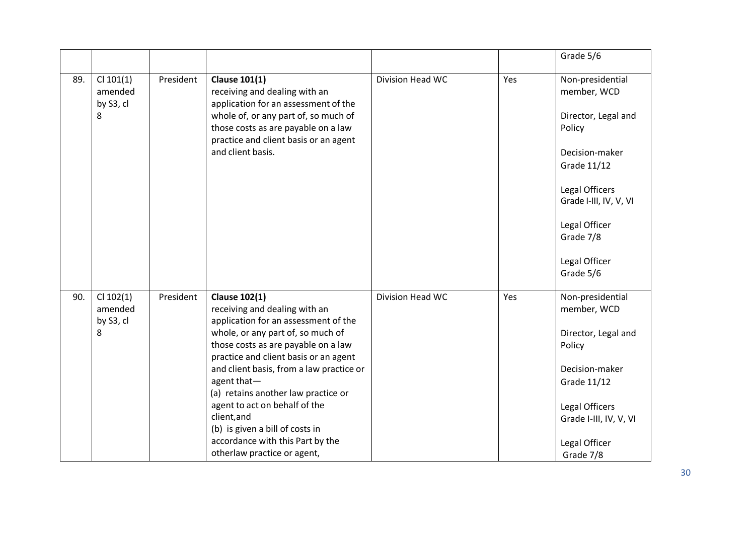|     |                                     |           |                                                                                                                      |                  |     | Grade 5/6                                |
|-----|-------------------------------------|-----------|----------------------------------------------------------------------------------------------------------------------|------------------|-----|------------------------------------------|
| 89. | $Cl$ 101(1)<br>amended<br>by S3, cl | President | <b>Clause 101(1)</b><br>receiving and dealing with an<br>application for an assessment of the                        | Division Head WC | Yes | Non-presidential<br>member, WCD          |
|     | 8                                   |           | whole of, or any part of, so much of<br>those costs as are payable on a law<br>practice and client basis or an agent |                  |     | Director, Legal and<br>Policy            |
|     |                                     |           | and client basis.                                                                                                    |                  |     | Decision-maker<br>Grade 11/12            |
|     |                                     |           |                                                                                                                      |                  |     | Legal Officers<br>Grade I-III, IV, V, VI |
|     |                                     |           |                                                                                                                      |                  |     | Legal Officer<br>Grade 7/8               |
|     |                                     |           |                                                                                                                      |                  |     | Legal Officer<br>Grade 5/6               |
| 90. | $Cl$ 102(1)<br>amended<br>by S3, cl | President | <b>Clause 102(1)</b><br>receiving and dealing with an<br>application for an assessment of the                        | Division Head WC | Yes | Non-presidential<br>member, WCD          |
|     | 8                                   |           | whole, or any part of, so much of<br>those costs as are payable on a law<br>practice and client basis or an agent    |                  |     | Director, Legal and<br>Policy            |
|     |                                     |           | and client basis, from a law practice or<br>agent that-<br>(a) retains another law practice or                       |                  |     | Decision-maker<br>Grade 11/12            |
|     |                                     |           | agent to act on behalf of the<br>client, and<br>(b) is given a bill of costs in                                      |                  |     | Legal Officers<br>Grade I-III, IV, V, VI |
|     |                                     |           | accordance with this Part by the<br>otherlaw practice or agent,                                                      |                  |     | Legal Officer<br>Grade 7/8               |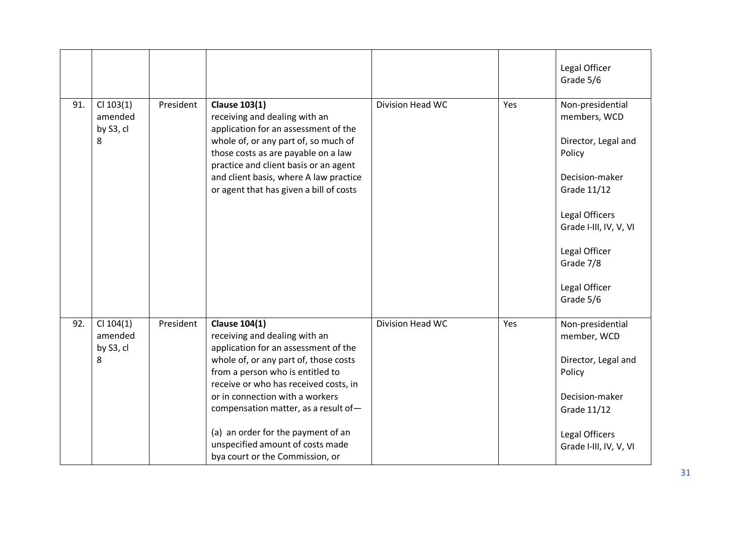|     |                                          |           |                                                                                                                                                                                                                                                                                                                                                                                                             |                  |     | Legal Officer<br>Grade 5/6                                                                                                                                                                                 |
|-----|------------------------------------------|-----------|-------------------------------------------------------------------------------------------------------------------------------------------------------------------------------------------------------------------------------------------------------------------------------------------------------------------------------------------------------------------------------------------------------------|------------------|-----|------------------------------------------------------------------------------------------------------------------------------------------------------------------------------------------------------------|
| 91. | $Cl$ 103(1)<br>amended<br>by S3, cl<br>8 | President | <b>Clause 103(1)</b><br>receiving and dealing with an<br>application for an assessment of the<br>whole of, or any part of, so much of<br>those costs as are payable on a law<br>practice and client basis or an agent<br>and client basis, where A law practice<br>or agent that has given a bill of costs                                                                                                  | Division Head WC | Yes | Non-presidential<br>members, WCD<br>Director, Legal and<br>Policy<br>Decision-maker<br>Grade 11/12<br>Legal Officers<br>Grade I-III, IV, V, VI<br>Legal Officer<br>Grade 7/8<br>Legal Officer<br>Grade 5/6 |
| 92. | $Cl$ 104(1)<br>amended<br>by S3, cl<br>8 | President | <b>Clause 104(1)</b><br>receiving and dealing with an<br>application for an assessment of the<br>whole of, or any part of, those costs<br>from a person who is entitled to<br>receive or who has received costs, in<br>or in connection with a workers<br>compensation matter, as a result of-<br>(a) an order for the payment of an<br>unspecified amount of costs made<br>bya court or the Commission, or | Division Head WC | Yes | Non-presidential<br>member, WCD<br>Director, Legal and<br>Policy<br>Decision-maker<br>Grade 11/12<br>Legal Officers<br>Grade I-III, IV, V, VI                                                              |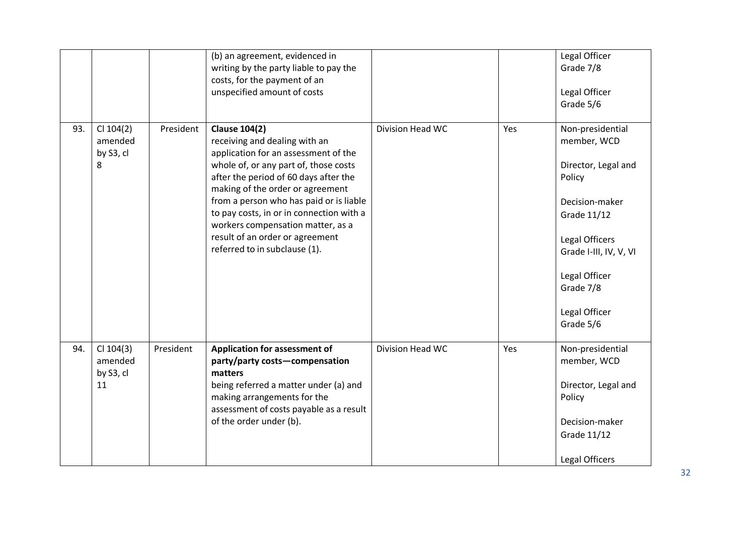|     |                                           |           | (b) an agreement, evidenced in<br>writing by the party liable to pay the<br>costs, for the payment of an<br>unspecified amount of costs                                                                                                                                                                                                                                                                             |                  |     | Legal Officer<br>Grade 7/8<br>Legal Officer<br>Grade 5/6                                                                                                                                                  |
|-----|-------------------------------------------|-----------|---------------------------------------------------------------------------------------------------------------------------------------------------------------------------------------------------------------------------------------------------------------------------------------------------------------------------------------------------------------------------------------------------------------------|------------------|-----|-----------------------------------------------------------------------------------------------------------------------------------------------------------------------------------------------------------|
| 93. | $Cl$ 104(2)<br>amended<br>by S3, cl<br>8  | President | <b>Clause 104(2)</b><br>receiving and dealing with an<br>application for an assessment of the<br>whole of, or any part of, those costs<br>after the period of 60 days after the<br>making of the order or agreement<br>from a person who has paid or is liable<br>to pay costs, in or in connection with a<br>workers compensation matter, as a<br>result of an order or agreement<br>referred to in subclause (1). | Division Head WC | Yes | Non-presidential<br>member, WCD<br>Director, Legal and<br>Policy<br>Decision-maker<br>Grade 11/12<br>Legal Officers<br>Grade I-III, IV, V, VI<br>Legal Officer<br>Grade 7/8<br>Legal Officer<br>Grade 5/6 |
| 94. | $Cl$ 104(3)<br>amended<br>by S3, cl<br>11 | President | <b>Application for assessment of</b><br>party/party costs-compensation<br>matters<br>being referred a matter under (a) and<br>making arrangements for the<br>assessment of costs payable as a result<br>of the order under (b).                                                                                                                                                                                     | Division Head WC | Yes | Non-presidential<br>member, WCD<br>Director, Legal and<br>Policy<br>Decision-maker<br>Grade 11/12<br>Legal Officers                                                                                       |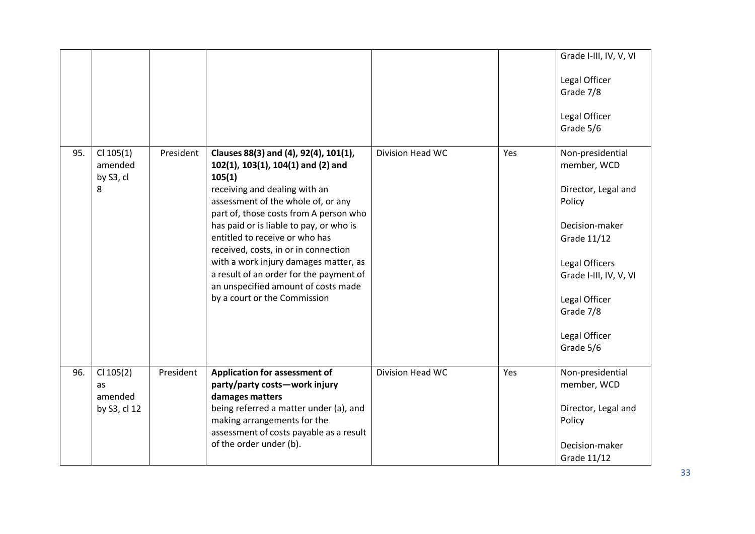|     |                                              |           |                                                                                                                                                                                                                                                                                                                                                                                                                                                                                        |                  |     | Grade I-III, IV, V, VI<br>Legal Officer<br>Grade 7/8<br>Legal Officer<br>Grade 5/6                                                                                                                        |
|-----|----------------------------------------------|-----------|----------------------------------------------------------------------------------------------------------------------------------------------------------------------------------------------------------------------------------------------------------------------------------------------------------------------------------------------------------------------------------------------------------------------------------------------------------------------------------------|------------------|-----|-----------------------------------------------------------------------------------------------------------------------------------------------------------------------------------------------------------|
| 95. | $Cl$ 105(1)<br>amended<br>by S3, cl<br>8     | President | Clauses 88(3) and (4), 92(4), 101(1),<br>102(1), 103(1), 104(1) and (2) and<br>105(1)<br>receiving and dealing with an<br>assessment of the whole of, or any<br>part of, those costs from A person who<br>has paid or is liable to pay, or who is<br>entitled to receive or who has<br>received, costs, in or in connection<br>with a work injury damages matter, as<br>a result of an order for the payment of<br>an unspecified amount of costs made<br>by a court or the Commission | Division Head WC | Yes | Non-presidential<br>member, WCD<br>Director, Legal and<br>Policy<br>Decision-maker<br>Grade 11/12<br>Legal Officers<br>Grade I-III, IV, V, VI<br>Legal Officer<br>Grade 7/8<br>Legal Officer<br>Grade 5/6 |
| 96. | $Cl$ 105(2)<br>as<br>amended<br>by S3, cl 12 | President | <b>Application for assessment of</b><br>party/party costs-work injury<br>damages matters<br>being referred a matter under (a), and<br>making arrangements for the<br>assessment of costs payable as a result<br>of the order under (b).                                                                                                                                                                                                                                                | Division Head WC | Yes | Non-presidential<br>member, WCD<br>Director, Legal and<br>Policy<br>Decision-maker<br>Grade 11/12                                                                                                         |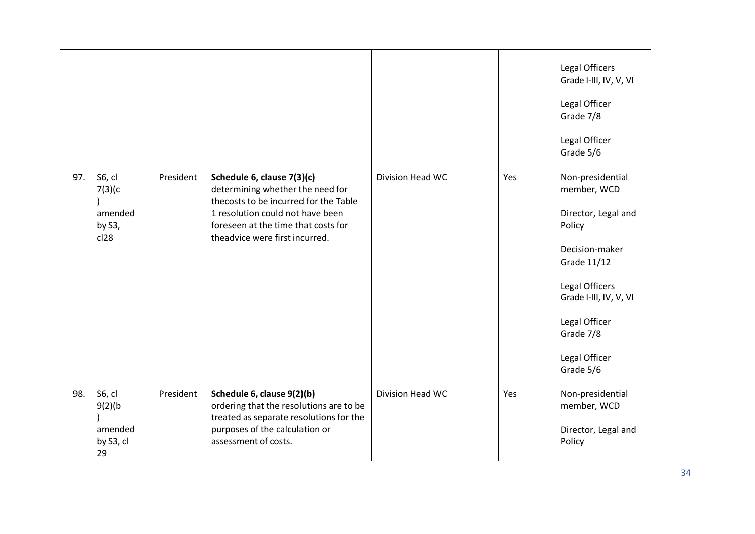|     |                                                 |           |                                                                                                                                                                                                                      |                         |     | Legal Officers<br>Grade I-III, IV, V, VI<br>Legal Officer<br>Grade 7/8<br>Legal Officer<br>Grade 5/6                                                                                                      |
|-----|-------------------------------------------------|-----------|----------------------------------------------------------------------------------------------------------------------------------------------------------------------------------------------------------------------|-------------------------|-----|-----------------------------------------------------------------------------------------------------------------------------------------------------------------------------------------------------------|
| 97. | S6, cl<br>7(3)(c)<br>amended<br>by S3,<br>cl28  | President | Schedule 6, clause 7(3)(c)<br>determining whether the need for<br>thecosts to be incurred for the Table<br>1 resolution could not have been<br>foreseen at the time that costs for<br>theadvice were first incurred. | Division Head WC        | Yes | Non-presidential<br>member, WCD<br>Director, Legal and<br>Policy<br>Decision-maker<br>Grade 11/12<br>Legal Officers<br>Grade I-III, IV, V, VI<br>Legal Officer<br>Grade 7/8<br>Legal Officer<br>Grade 5/6 |
| 98. | S6, cl<br>9(2)(b)<br>amended<br>by S3, cl<br>29 | President | Schedule 6, clause 9(2)(b)<br>ordering that the resolutions are to be<br>treated as separate resolutions for the<br>purposes of the calculation or<br>assessment of costs.                                           | <b>Division Head WC</b> | Yes | Non-presidential<br>member, WCD<br>Director, Legal and<br>Policy                                                                                                                                          |